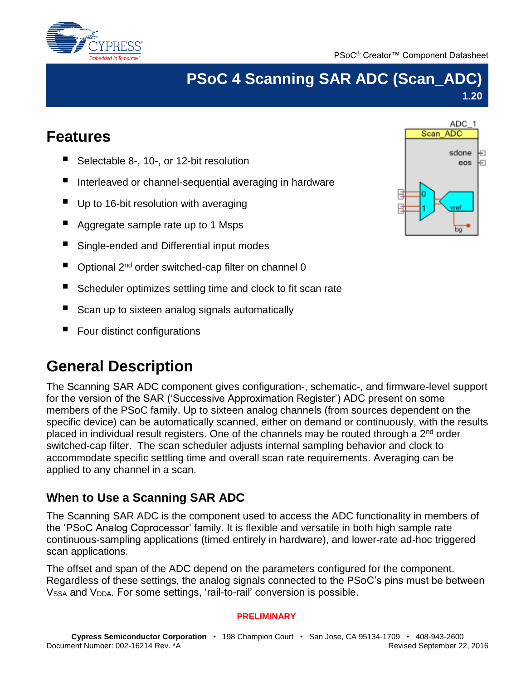



# **PSoC 4 Scanning SAR ADC (Scan\_ADC) 1.20**

# **Features**

- Selectable 8-, 10-, or 12-bit resolution
- Interleaved or channel-sequential averaging in hardware
- Up to 16-bit resolution with averaging
- Aggregate sample rate up to 1 Msps
- Single-ended and Differential input modes
- Optional 2<sup>nd</sup> order switched-cap filter on channel 0
- Scheduler optimizes settling time and clock to fit scan rate
- Scan up to sixteen analog signals automatically
- Four distinct configurations

# **General Description**

The Scanning SAR ADC component gives configuration-, schematic-, and firmware-level support for the version of the SAR ('Successive Approximation Register') ADC present on some members of the PSoC family. Up to sixteen analog channels (from sources dependent on the specific device) can be automatically scanned, either on demand or continuously, with the results placed in individual result registers. One of the channels may be routed through a  $2<sup>nd</sup>$  order switched-cap filter. The scan scheduler adjusts internal sampling behavior and clock to accommodate specific settling time and overall scan rate requirements. Averaging can be applied to any channel in a scan.

# **When to Use a Scanning SAR ADC**

The Scanning SAR ADC is the component used to access the ADC functionality in members of the 'PSoC Analog Coprocessor' family. It is flexible and versatile in both high sample rate continuous-sampling applications (timed entirely in hardware), and lower-rate ad-hoc triggered scan applications.

The offset and span of the ADC depend on the parameters configured for the component. Regardless of these settings, the analog signals connected to the PSoC's pins must be between V<sub>SSA</sub> and V<sub>DDA</sub>. For some settings, 'rail-to-rail' conversion is possible.

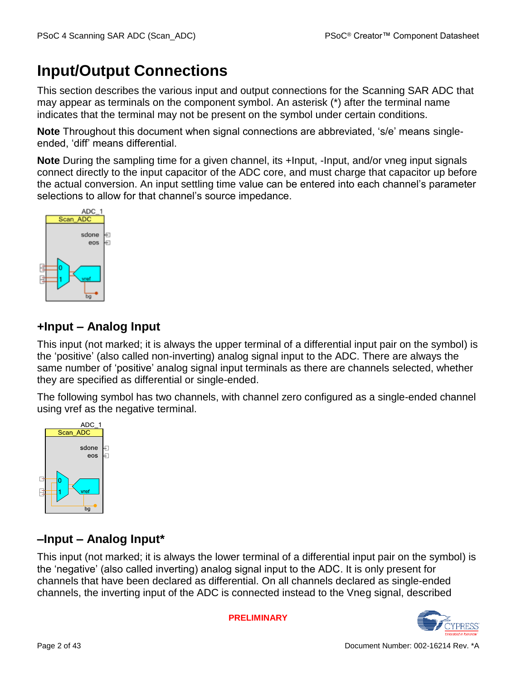# **Input/Output Connections**

This section describes the various input and output connections for the Scanning SAR ADC that may appear as terminals on the component symbol. An asterisk (\*) after the terminal name indicates that the terminal may not be present on the symbol under certain conditions.

**Note** Throughout this document when signal connections are abbreviated, 's/e' means singleended, 'diff' means differential.

**Note** During the sampling time for a given channel, its +Input, -Input, and/or vneg input signals connect directly to the input capacitor of the ADC core, and must charge that capacitor up before the actual conversion. An input settling time value can be entered into each channel's parameter selections to allow for that channel's source impedance.



# **+Input – Analog Input**

This input (not marked; it is always the upper terminal of a differential input pair on the symbol) is the 'positive' (also called non-inverting) analog signal input to the ADC. There are always the same number of 'positive' analog signal input terminals as there are channels selected, whether they are specified as differential or single-ended.

The following symbol has two channels, with channel zero configured as a single-ended channel using vref as the negative terminal.



# **–Input – Analog Input\***

This input (not marked; it is always the lower terminal of a differential input pair on the symbol) is the 'negative' (also called inverting) analog signal input to the ADC. It is only present for channels that have been declared as differential. On all channels declared as single-ended channels, the inverting input of the ADC is connected instead to the Vneg signal, described

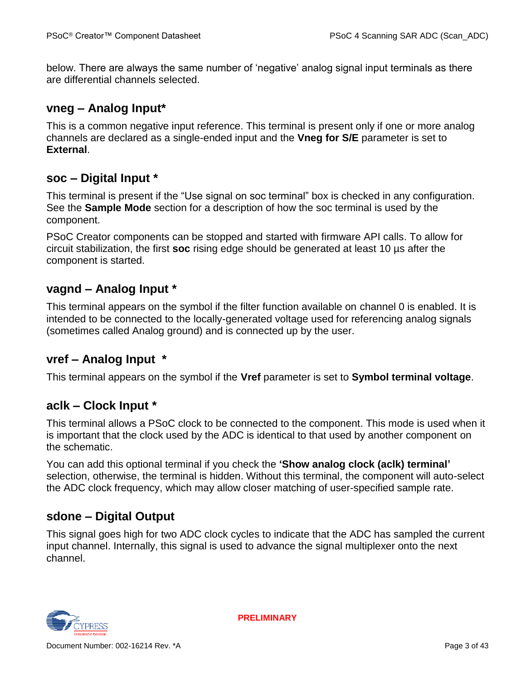below. There are always the same number of 'negative' analog signal input terminals as there are differential channels selected.

## **vneg – Analog Input\***

This is a common negative input reference. This terminal is present only if one or more analog channels are declared as a single-ended input and the **Vneg for S/E** parameter is set to **External**.

## **soc – Digital Input \***

This terminal is present if the "Use signal on soc terminal" box is checked in any configuration. See the **Sample Mode** section for a description of how the soc terminal is used by the component.

PSoC Creator components can be stopped and started with firmware API calls. To allow for circuit stabilization, the first **soc** rising edge should be generated at least 10 µs after the component is started.

## **vagnd – Analog Input \***

This terminal appears on the symbol if the filter function available on channel 0 is enabled. It is intended to be connected to the locally-generated voltage used for referencing analog signals (sometimes called Analog ground) and is connected up by the user.

## **vref – Analog Input \***

This terminal appears on the symbol if the **Vref** parameter is set to **Symbol terminal voltage**.

## **aclk – Clock Input \***

This terminal allows a PSoC clock to be connected to the component. This mode is used when it is important that the clock used by the ADC is identical to that used by another component on the schematic.

You can add this optional terminal if you check the **'Show analog clock (aclk) terminal'** selection, otherwise, the terminal is hidden. Without this terminal, the component will auto-select the ADC clock frequency, which may allow closer matching of user-specified sample rate.

## **sdone – Digital Output**

This signal goes high for two ADC clock cycles to indicate that the ADC has sampled the current input channel. Internally, this signal is used to advance the signal multiplexer onto the next channel.

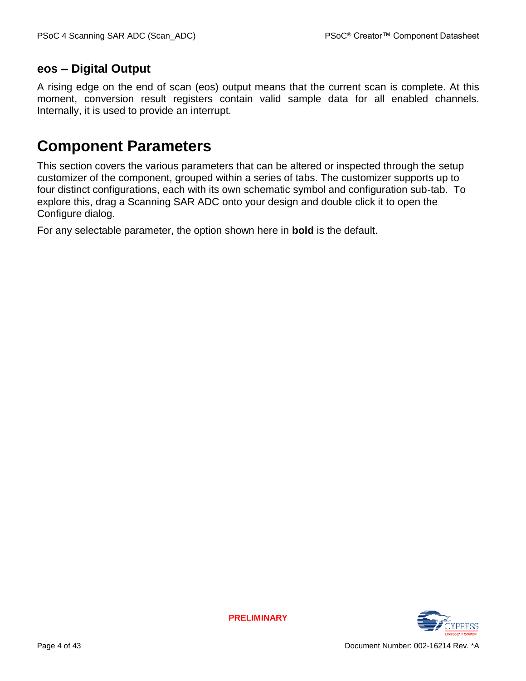## **eos – Digital Output**

A rising edge on the end of scan (eos) output means that the current scan is complete. At this moment, conversion result registers contain valid sample data for all enabled channels. Internally, it is used to provide an interrupt.

# **Component Parameters**

This section covers the various parameters that can be altered or inspected through the setup customizer of the component, grouped within a series of tabs. The customizer supports up to four distinct configurations, each with its own schematic symbol and configuration sub-tab. To explore this, drag a Scanning SAR ADC onto your design and double click it to open the Configure dialog.

For any selectable parameter, the option shown here in **bold** is the default.

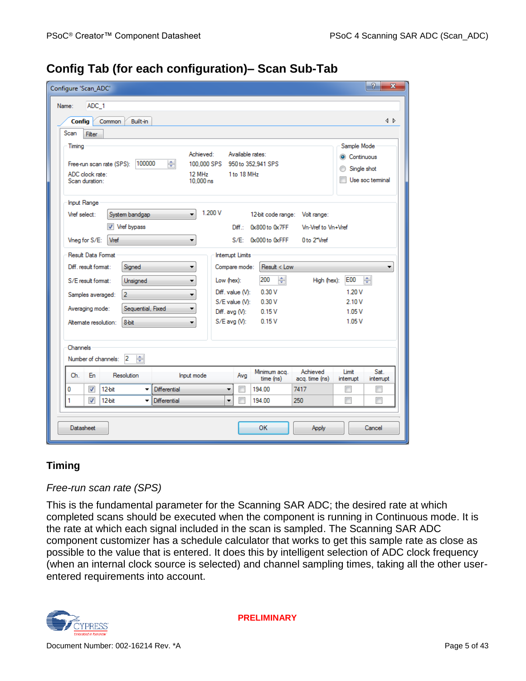|  | Config Tab (for each configuration)- Scan Sub-Tab |  |
|--|---------------------------------------------------|--|
|  |                                                   |  |

| Configure 'Scan_ADC'                                                               |                                                        |                                  |                                 |                                                  |                            |                                          | P<br>x            |
|------------------------------------------------------------------------------------|--------------------------------------------------------|----------------------------------|---------------------------------|--------------------------------------------------|----------------------------|------------------------------------------|-------------------|
| Name:<br>ADC 1                                                                     |                                                        |                                  |                                 |                                                  |                            |                                          |                   |
| Built-in<br><b>Config</b><br>Common                                                |                                                        |                                  |                                 |                                                  |                            |                                          | 1 D               |
| Scan<br>Filter                                                                     |                                                        |                                  |                                 |                                                  |                            |                                          |                   |
| Timing<br>100000<br>Free-run scan rate (SPS):<br>ADC clock rate:<br>Scan duration: | Achieved:<br>슥<br>100,000 SPS<br>12 MHz<br>$10.000$ ns |                                  | Available rates:<br>1 to 18 MHz | 950 to 352.941 SPS                               |                            | Sample Mode<br>Continuous<br>Single shot | Use soc terminal  |
| <b>Input Range</b><br>Vref select:<br>System bandgap<br>Vref bypass                | 1.200 V<br>۰                                           |                                  | Diff.:                          | 12-bit code range: Volt range:<br>0x800 to 0x7FF | Vn-Vref to Vn+Vref         |                                          |                   |
| Vref<br>Vneg for S/E:                                                              |                                                        |                                  |                                 | S/E: 0x000 to 0xFFF                              | 0 to 2"Vref                |                                          |                   |
| Result Data Format                                                                 |                                                        | <b>Interrupt Limits</b>          |                                 |                                                  |                            |                                          |                   |
| Diff. result format:<br>Signed                                                     | ▼                                                      | Compare mode:                    |                                 | Result < Low                                     |                            |                                          | ▼                 |
| S/E result format:<br>Unsigned                                                     | ▼                                                      | Low (hex):                       |                                 | ÷<br>200                                         | High (hex):                | <b>E00</b>                               | 싂                 |
| $\overline{2}$<br>Samples averaged:                                                | ▼                                                      | Diff. value (V):                 |                                 | 0.30V                                            |                            | 1.20V                                    |                   |
| Sequential, Fixed<br>Averaging mode:                                               | ▼                                                      | S/E value (V):<br>Diff. avg (V): |                                 | 0.30V<br>0.15V                                   |                            | 2.10V<br>1.05V                           |                   |
| 8-bit<br>Altemate resolution:                                                      | ▼                                                      | S/E avg (V):                     |                                 | 0.15V                                            |                            | 1.05V                                    |                   |
| Channels<br>÷<br>$\mathbf{2}$<br>Number of channels:                               |                                                        |                                  |                                 |                                                  |                            |                                          |                   |
| Resolution<br>Ch.<br>En                                                            | Input mode                                             |                                  | Avg                             | Minimum acq.<br>time (ns)                        | Achieved<br>acq. time (ns) | Limit<br>interrupt                       | Sat.<br>interrupt |
| √<br>12-bit<br>0                                                                   | <b>Differential</b>                                    | ۰                                |                                 | 194.00                                           | 7417                       |                                          |                   |
| 1<br>$\overline{\mathcal{L}}$<br>$12-bit$<br>۰                                     | <b>Differential</b>                                    | ۰                                | п                               | 194.00                                           | 250                        | ┍                                        | П                 |
| <b>Datasheet</b>                                                                   |                                                        |                                  |                                 | <b>OK</b>                                        | <b>Apply</b>               |                                          | Cancel            |

### **Timing**

#### *Free-run scan rate (SPS)*

This is the fundamental parameter for the Scanning SAR ADC; the desired rate at which completed scans should be executed when the component is running in Continuous mode. It is the rate at which each signal included in the scan is sampled. The Scanning SAR ADC component customizer has a schedule calculator that works to get this sample rate as close as possible to the value that is entered. It does this by intelligent selection of ADC clock frequency (when an internal clock source is selected) and channel sampling times, taking all the other userentered requirements into account.

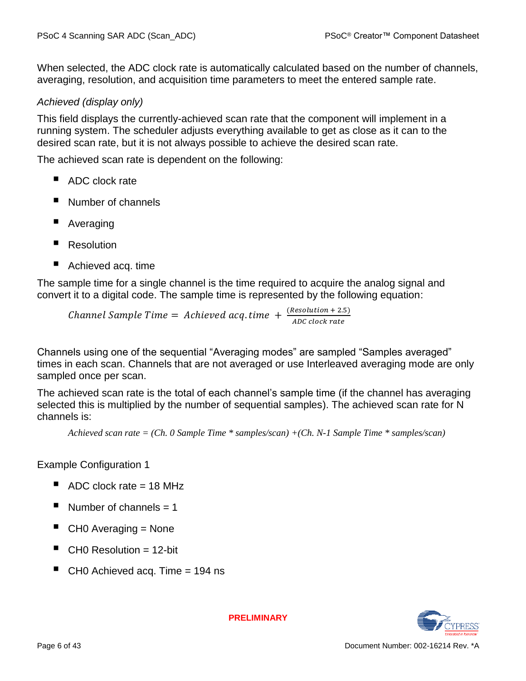When selected, the ADC clock rate is automatically calculated based on the number of channels, averaging, resolution, and acquisition time parameters to meet the entered sample rate.

#### *Achieved (display only)*

This field displays the currently-achieved scan rate that the component will implement in a running system. The scheduler adjusts everything available to get as close as it can to the desired scan rate, but it is not always possible to achieve the desired scan rate.

The achieved scan rate is dependent on the following:

- ADC clock rate
- Number of channels
- Averaging
- **Resolution**
- Achieved acq. time

The sample time for a single channel is the time required to acquire the analog signal and convert it to a digital code. The sample time is represented by the following equation:

*Channel Sample Time* = Achieved acq.time +  $\frac{(Resolution + 2.5)}{ABC}$ *ADC clock rate* 

Channels using one of the sequential "Averaging modes" are sampled "Samples averaged" times in each scan. Channels that are not averaged or use Interleaved averaging mode are only sampled once per scan.

The achieved scan rate is the total of each channel's sample time (if the channel has averaging selected this is multiplied by the number of sequential samples). The achieved scan rate for N channels is:

*Achieved scan rate = (Ch. 0 Sample Time \* samples/scan) +(Ch. N-1 Sample Time \* samples/scan)*

Example Configuration 1

- $\blacksquare$  ADC clock rate = 18 MHz
- Number of channels  $= 1$
- CH0 Averaging = None
- CH0 Resolution = 12-bit
- $\blacksquare$  CH0 Achieved acq. Time = 194 ns

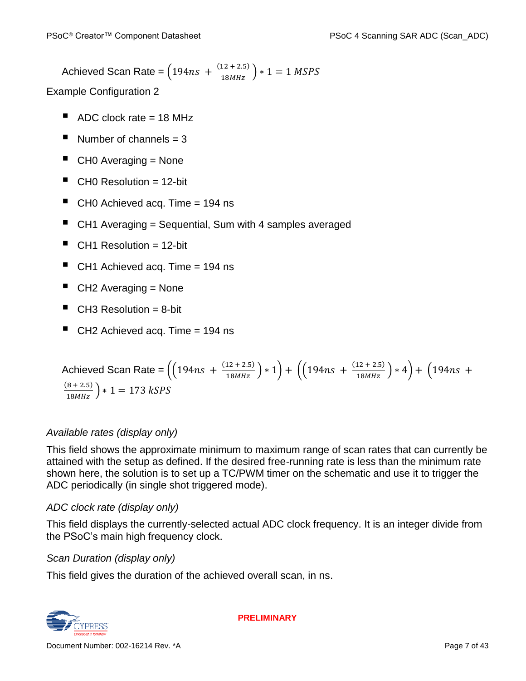Achieved Scan Rate =  $(194ns + \frac{(12 + 2.5)}{18MHz}) * 1 = 1$  MSPS

Example Configuration 2

- $\blacksquare$  ADC clock rate = 18 MHz
- Number of channels = 3
- $\blacksquare$  CH0 Averaging = None
- $\blacksquare$  CH0 Resolution = 12-bit
- $\blacksquare$  CH0 Achieved acq. Time = 194 ns
- CH1 Averaging = Sequential, Sum with 4 samples averaged
- $\blacksquare$  CH1 Resolution = 12-bit
- $\blacksquare$  CH1 Achieved acq. Time = 194 ns
- $\blacksquare$  CH2 Averaging = None
- $\blacksquare$  CH3 Resolution = 8-bit
- $\blacksquare$  CH2 Achieved acq. Time = 194 ns

Achieved Scan Rate = 
$$
\left( \left( 194ns + \frac{(12 + 2.5)}{18MHz} \right) * 1 \right) + \left( \left( 194ns + \frac{(12 + 2.5)}{18MHz} \right) * 4 \right) + \left( 194ns + \frac{(8 + 2.5)}{18MHz} \right) * 1 = 173 kSPS
$$

### *Available rates (display only)*

This field shows the approximate minimum to maximum range of scan rates that can currently be attained with the setup as defined. If the desired free-running rate is less than the minimum rate shown here, the solution is to set up a TC/PWM timer on the schematic and use it to trigger the ADC periodically (in single shot triggered mode).

### *ADC clock rate (display only)*

This field displays the currently-selected actual ADC clock frequency. It is an integer divide from the PSoC's main high frequency clock.

### *Scan Duration (display only)*

This field gives the duration of the achieved overall scan, in ns.

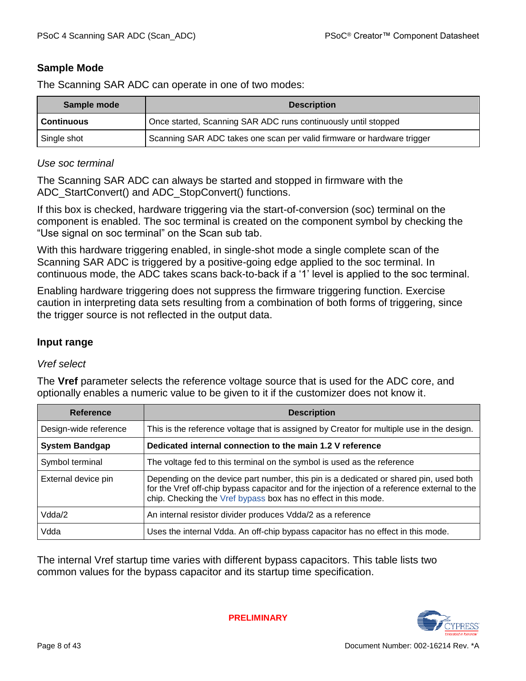#### **Sample Mode**

The Scanning SAR ADC can operate in one of two modes:

| Sample mode       | <b>Description</b>                                                     |  |  |
|-------------------|------------------------------------------------------------------------|--|--|
| <b>Continuous</b> | Once started, Scanning SAR ADC runs continuously until stopped         |  |  |
| Single shot       | Scanning SAR ADC takes one scan per valid firmware or hardware trigger |  |  |

#### *Use soc terminal*

The Scanning SAR ADC can always be started and stopped in firmware with the ADC StartConvert() and ADC StopConvert() functions.

If this box is checked, hardware triggering via the start-of-conversion (soc) terminal on the component is enabled. The soc terminal is created on the component symbol by checking the "Use signal on soc terminal" on the Scan sub tab.

With this hardware triggering enabled, in single-shot mode a single complete scan of the Scanning SAR ADC is triggered by a positive-going edge applied to the soc terminal. In continuous mode, the ADC takes scans back-to-back if a '1' level is applied to the soc terminal.

Enabling hardware triggering does not suppress the firmware triggering function. Exercise caution in interpreting data sets resulting from a combination of both forms of triggering, since the trigger source is not reflected in the output data.

#### **Input range**

#### *Vref select*

The **Vref** parameter selects the reference voltage source that is used for the ADC core, and optionally enables a numeric value to be given to it if the customizer does not know it.

| <b>Reference</b>      | <b>Description</b>                                                                                                                                                                                                                                     |
|-----------------------|--------------------------------------------------------------------------------------------------------------------------------------------------------------------------------------------------------------------------------------------------------|
| Design-wide reference | This is the reference voltage that is assigned by Creator for multiple use in the design.                                                                                                                                                              |
| <b>System Bandgap</b> | Dedicated internal connection to the main 1.2 V reference                                                                                                                                                                                              |
| Symbol terminal       | The voltage fed to this terminal on the symbol is used as the reference                                                                                                                                                                                |
| External device pin   | Depending on the device part number, this pin is a dedicated or shared pin, used both<br>for the Vref off-chip bypass capacitor and for the injection of a reference external to the<br>chip. Checking the Vref bypass box has no effect in this mode. |
| Vdda/2                | An internal resistor divider produces Vdda/2 as a reference                                                                                                                                                                                            |
| Vdda                  | Uses the internal Vdda. An off-chip bypass capacitor has no effect in this mode.                                                                                                                                                                       |

The internal Vref startup time varies with different bypass capacitors. This table lists two common values for the bypass capacitor and its startup time specification.

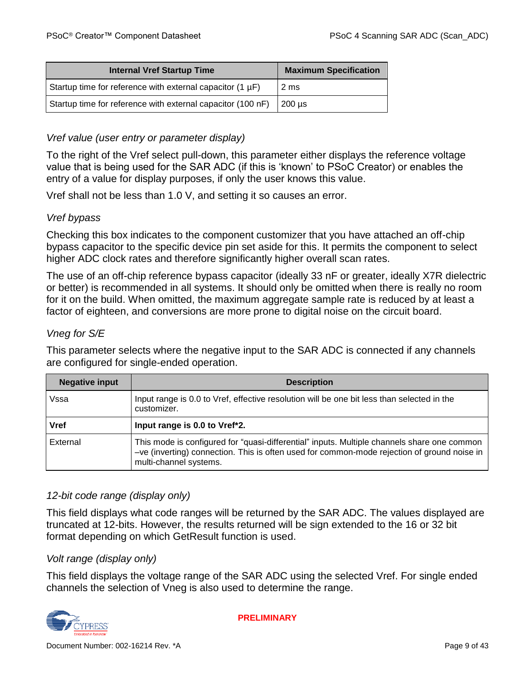| <b>Internal Vref Startup Time</b>                           | <b>Maximum Specification</b> |
|-------------------------------------------------------------|------------------------------|
| Startup time for reference with external capacitor (1 µF)   | 2 ms                         |
| Startup time for reference with external capacitor (100 nF) | $200 \mu s$                  |

#### *Vref value (user entry or parameter display)*

To the right of the Vref select pull-down, this parameter either displays the reference voltage value that is being used for the SAR ADC (if this is 'known' to PSoC Creator) or enables the entry of a value for display purposes, if only the user knows this value.

Vref shall not be less than 1.0 V, and setting it so causes an error.

#### <span id="page-8-0"></span>*Vref bypass*

Checking this box indicates to the component customizer that you have attached an off-chip bypass capacitor to the specific device pin set aside for this. It permits the component to select higher ADC clock rates and therefore significantly higher overall scan rates.

The use of an off-chip reference bypass capacitor (ideally 33 nF or greater, ideally X7R dielectric or better) is recommended in all systems. It should only be omitted when there is really no room for it on the build. When omitted, the maximum aggregate sample rate is reduced by at least a factor of eighteen, and conversions are more prone to digital noise on the circuit board.

#### *Vneg for S/E*

This parameter selects where the negative input to the SAR ADC is connected if any channels are configured for single-ended operation.

| <b>Negative input</b> | <b>Description</b>                                                                                                                                                                                                   |
|-----------------------|----------------------------------------------------------------------------------------------------------------------------------------------------------------------------------------------------------------------|
| Vssa                  | Input range is 0.0 to Vref, effective resolution will be one bit less than selected in the<br>customizer.                                                                                                            |
| <b>Vref</b>           | Input range is 0.0 to Vref*2.                                                                                                                                                                                        |
| External              | This mode is configured for "quasi-differential" inputs. Multiple channels share one common<br>-ve (inverting) connection. This is often used for common-mode rejection of ground noise in<br>multi-channel systems. |

#### *12-bit code range (display only)*

This field displays what code ranges will be returned by the SAR ADC. The values displayed are truncated at 12-bits. However, the results returned will be sign extended to the 16 or 32 bit format depending on which GetResult function is used.

#### *Volt range (display only)*

This field displays the voltage range of the SAR ADC using the selected Vref. For single ended channels the selection of Vneg is also used to determine the range.

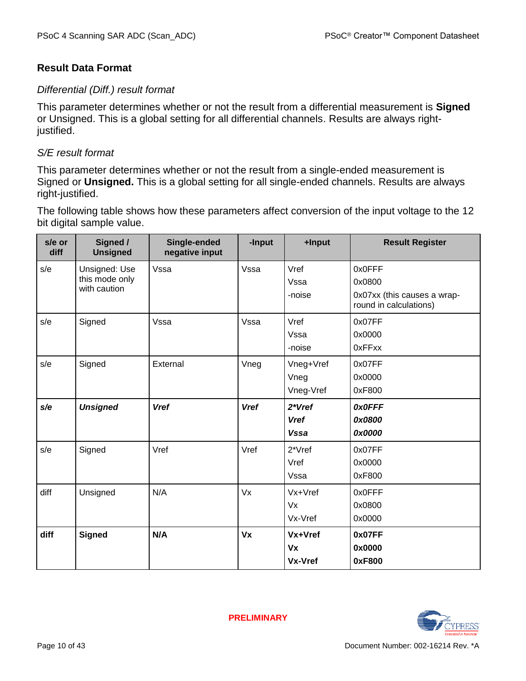#### **Result Data Format**

#### *Differential (Diff.) result format*

This parameter determines whether or not the result from a differential measurement is **Signed** or Unsigned. This is a global setting for all differential channels. Results are always rightjustified.

#### *S/E result format*

This parameter determines whether or not the result from a single-ended measurement is Signed or **Unsigned.** This is a global setting for all single-ended channels. Results are always right-justified.

The following table shows how these parameters affect conversion of the input voltage to the 12 bit digital sample value.

| s/e or<br>diff | Signed /<br><b>Unsigned</b>                     | Single-ended<br>negative input | -Input      | +Input                               | <b>Result Register</b>                                                    |
|----------------|-------------------------------------------------|--------------------------------|-------------|--------------------------------------|---------------------------------------------------------------------------|
| s/e            | Unsigned: Use<br>this mode only<br>with caution | Vssa                           | Vssa        | Vref<br>Vssa<br>-noise               | 0x0FFF<br>0x0800<br>0x07xx (this causes a wrap-<br>round in calculations) |
| s/e            | Signed                                          | Vssa                           | Vssa        | Vref<br>Vssa<br>-noise               | 0x07FF<br>0x0000<br>0xFFxx                                                |
| s/e            | Signed                                          | External                       | Vneg        | Vneg+Vref<br>Vneg<br>Vneg-Vref       | 0x07FF<br>0x0000<br>0xF800                                                |
| s/e            | <b>Unsigned</b>                                 | <b>Vref</b>                    | <b>Vref</b> | 2*Vref<br><b>Vref</b><br><b>Vssa</b> | <b>OxOFFF</b><br>0x0800<br>0x0000                                         |
| s/e            | Signed                                          | Vref                           | Vref        | 2*Vref<br>Vref<br>Vssa               | 0x07FF<br>0x0000<br>0xF800                                                |
| diff           | Unsigned                                        | N/A                            | Vx          | Vx+Vref<br>Vx<br>Vx-Vref             | 0x0FFF<br>0x0800<br>0x0000                                                |
| diff           | <b>Signed</b>                                   | N/A                            | Vx          | Vx+Vref<br>Vx<br>Vx-Vref             | 0x07FF<br>0x0000<br>0xF800                                                |

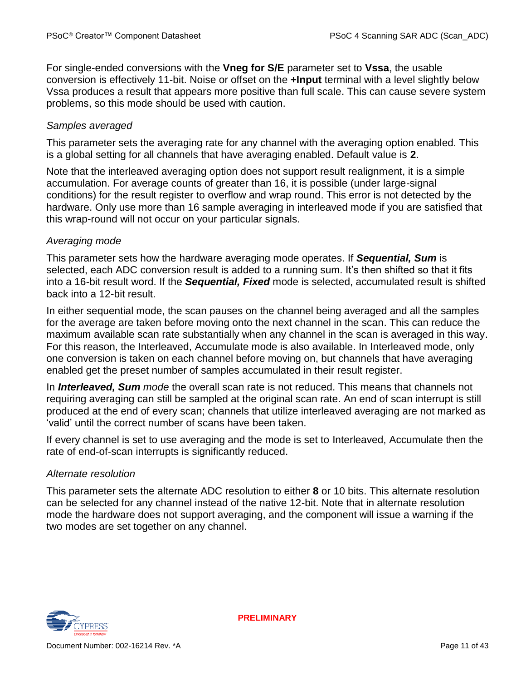For single-ended conversions with the **Vneg for S/E** parameter set to **Vssa**, the usable conversion is effectively 11-bit. Noise or offset on the **+Input** terminal with a level slightly below Vssa produces a result that appears more positive than full scale. This can cause severe system problems, so this mode should be used with caution.

#### *Samples averaged*

This parameter sets the averaging rate for any channel with the averaging option enabled. This is a global setting for all channels that have averaging enabled. Default value is **2**.

Note that the interleaved averaging option does not support result realignment, it is a simple accumulation. For average counts of greater than 16, it is possible (under large-signal conditions) for the result register to overflow and wrap round. This error is not detected by the hardware. Only use more than 16 sample averaging in interleaved mode if you are satisfied that this wrap-round will not occur on your particular signals.

#### *Averaging mode*

This parameter sets how the hardware averaging mode operates. If *Sequential, Sum* is selected, each ADC conversion result is added to a running sum. It's then shifted so that it fits into a 16-bit result word. If the *Sequential, Fixed* mode is selected, accumulated result is shifted back into a 12-bit result.

In either sequential mode, the scan pauses on the channel being averaged and all the samples for the average are taken before moving onto the next channel in the scan. This can reduce the maximum available scan rate substantially when any channel in the scan is averaged in this way. For this reason, the Interleaved, Accumulate mode is also available. In Interleaved mode, only one conversion is taken on each channel before moving on, but channels that have averaging enabled get the preset number of samples accumulated in their result register.

In *Interleaved, Sum mode* the overall scan rate is not reduced. This means that channels not requiring averaging can still be sampled at the original scan rate. An end of scan interrupt is still produced at the end of every scan; channels that utilize interleaved averaging are not marked as 'valid' until the correct number of scans have been taken.

If every channel is set to use averaging and the mode is set to Interleaved, Accumulate then the rate of end-of-scan interrupts is significantly reduced.

#### *Alternate resolution*

This parameter sets the alternate ADC resolution to either **8** or 10 bits. This alternate resolution can be selected for any channel instead of the native 12-bit. Note that in alternate resolution mode the hardware does not support averaging, and the component will issue a warning if the two modes are set together on any channel.

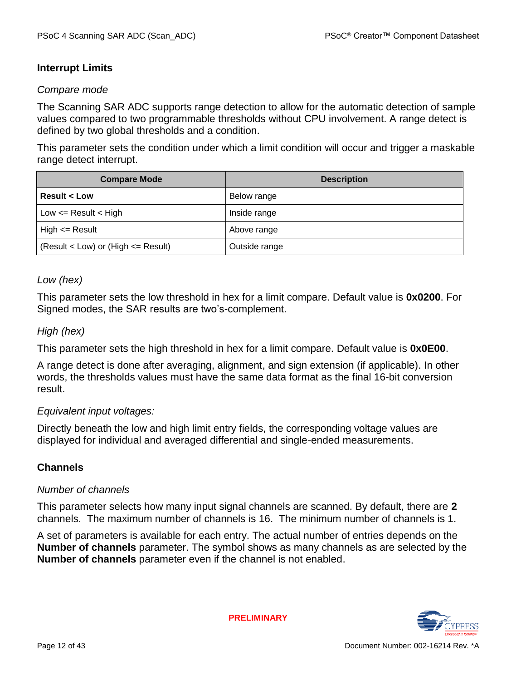#### **Interrupt Limits**

#### *Compare mode*

The Scanning SAR ADC supports range detection to allow for the automatic detection of sample values compared to two programmable thresholds without CPU involvement. A range detect is defined by two global thresholds and a condition.

This parameter sets the condition under which a limit condition will occur and trigger a maskable range detect interrupt.

| <b>Compare Mode</b>                     | <b>Description</b> |
|-----------------------------------------|--------------------|
| <b>Result &lt; Low</b>                  | Below range        |
| Low $\leq$ Result $\leq$ High           | Inside range       |
| $High \leq$ Result                      | Above range        |
| $(Result < Low)$ or $(High < = Result)$ | Outside range      |

#### *Low (hex)*

This parameter sets the low threshold in hex for a limit compare. Default value is **0x0200**. For Signed modes, the SAR results are two's-complement.

#### *High (hex)*

This parameter sets the high threshold in hex for a limit compare. Default value is **0x0E00**.

A range detect is done after averaging, alignment, and sign extension (if applicable). In other words, the thresholds values must have the same data format as the final 16-bit conversion result.

#### *Equivalent input voltages:*

Directly beneath the low and high limit entry fields, the corresponding voltage values are displayed for individual and averaged differential and single-ended measurements.

#### **Channels**

#### *Number of channels*

This parameter selects how many input signal channels are scanned. By default, there are **2** channels. The maximum number of channels is 16. The minimum number of channels is 1.

A set of parameters is available for each entry. The actual number of entries depends on the **Number of channels** parameter. The symbol shows as many channels as are selected by the **Number of channels** parameter even if the channel is not enabled.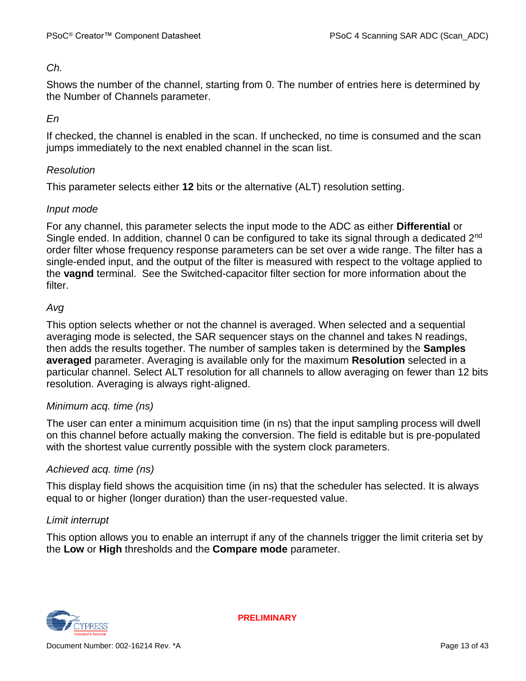#### *Ch.*

Shows the number of the channel, starting from 0. The number of entries here is determined by the Number of Channels parameter.

#### *En*

If checked, the channel is enabled in the scan. If unchecked, no time is consumed and the scan jumps immediately to the next enabled channel in the scan list.

#### *Resolution*

This parameter selects either **12** bits or the alternative (ALT) resolution setting.

#### *Input mode*

For any channel, this parameter selects the input mode to the ADC as either **Differential** or Single ended. In addition, channel 0 can be configured to take its signal through a dedicated 2<sup>nd</sup> order filter whose frequency response parameters can be set over a wide range. The filter has a single-ended input, and the output of the filter is measured with respect to the voltage applied to the **vagnd** terminal. See the [Switched-capacitor filter](#page-32-0) section for more information about the filter.

#### *Avg*

This option selects whether or not the channel is averaged. When selected and a sequential averaging mode is selected, the SAR sequencer stays on the channel and takes N readings, then adds the results together. The number of samples taken is determined by the **Samples averaged** parameter. Averaging is available only for the maximum **Resolution** selected in a particular channel. Select ALT resolution for all channels to allow averaging on fewer than 12 bits resolution. Averaging is always right-aligned.

#### *Minimum acq. time (ns)*

The user can enter a minimum acquisition time (in ns) that the input sampling process will dwell on this channel before actually making the conversion. The field is editable but is pre-populated with the shortest value currently possible with the system clock parameters.

#### *Achieved acq. time (ns)*

This display field shows the acquisition time (in ns) that the scheduler has selected. It is always equal to or higher (longer duration) than the user-requested value.

#### *Limit interrupt*

This option allows you to enable an interrupt if any of the channels trigger the limit criteria set by the **Low** or **High** thresholds and the **Compare mode** parameter.

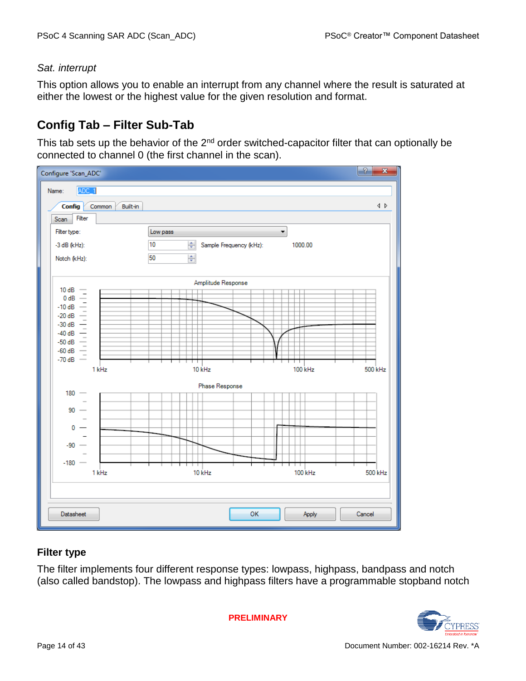#### *Sat. interrupt*

This option allows you to enable an interrupt from any channel where the result is saturated at either the lowest or the highest value for the given resolution and format.

# **Config Tab – Filter Sub-Tab**

This tab sets up the behavior of the  $2<sup>nd</sup>$  order switched-capacitor filter that can optionally be connected to channel 0 (the first channel in the scan).

| Configure 'Scan_ADC'                                |                                    | $\overline{P}$<br>$\mathbf{x}$          |
|-----------------------------------------------------|------------------------------------|-----------------------------------------|
| ADC_1<br>Name:                                      |                                    |                                         |
| <b>Config</b><br>Common<br>Built-in                 |                                    | $\left\langle \downarrow \right\rangle$ |
| Filter<br>Scan                                      |                                    |                                         |
| Filter type:                                        | Low pass<br>۰                      |                                         |
| -3 dB (kHz):                                        | 10<br>수<br>Sample Frequency (kHz): | 1000.00                                 |
| Notch (kHz):                                        | 50<br>今                            |                                         |
|                                                     | Amplitude Response                 |                                         |
| 10dB<br>$\hspace{0.1mm}-\hspace{0.1mm}$<br>$0 dB =$ |                                    |                                         |
| $-10$ dB $-$                                        |                                    |                                         |
| $-20$ dB $-$                                        |                                    |                                         |
| $-30$ dB $-$                                        |                                    |                                         |
| $-40$ dB $-$                                        |                                    |                                         |
| $-50$ dB $-$<br>$-60$ dB $-$                        |                                    |                                         |
| -70 dB $-$                                          |                                    |                                         |
| 1 kHz                                               | 10 kHz                             | 100 kHz<br>500 kHz                      |
| $180 -$                                             | Phase Response                     |                                         |
|                                                     |                                    |                                         |
| $90 -$                                              |                                    |                                         |
| 0                                                   |                                    |                                         |
|                                                     |                                    |                                         |
| $-90$                                               |                                    |                                         |
|                                                     |                                    |                                         |
| $-180 -$                                            | т<br>ш                             | ┯╕                                      |
| 1 kHz                                               | 10 kHz                             | 100 kHz<br>500 kHz                      |
|                                                     |                                    |                                         |
|                                                     |                                    |                                         |
| <b>Datasheet</b>                                    | OK                                 | Apply<br>Cancel                         |

#### **Filter type**

The filter implements four different response types: lowpass, highpass, bandpass and notch (also called bandstop). The lowpass and highpass filters have a programmable stopband notch

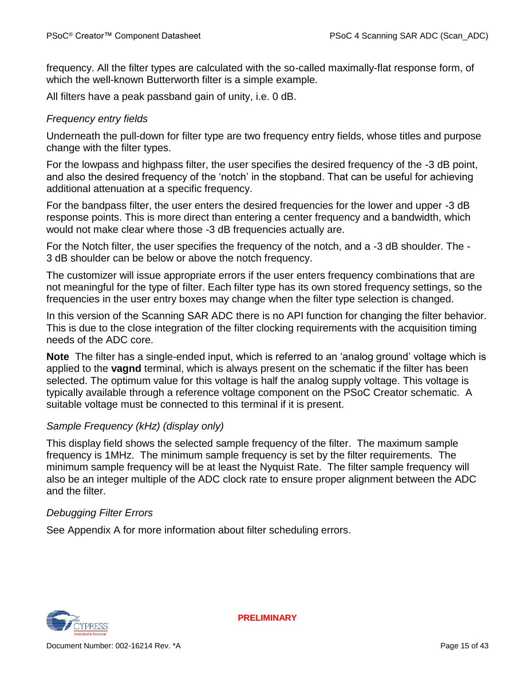frequency. All the filter types are calculated with the so-called maximally-flat response form, of which the well-known Butterworth filter is a simple example.

All filters have a peak passband gain of unity, i.e. 0 dB.

#### *Frequency entry fields*

Underneath the pull-down for filter type are two frequency entry fields, whose titles and purpose change with the filter types.

For the lowpass and highpass filter, the user specifies the desired frequency of the -3 dB point, and also the desired frequency of the 'notch' in the stopband. That can be useful for achieving additional attenuation at a specific frequency.

For the bandpass filter, the user enters the desired frequencies for the lower and upper -3 dB response points. This is more direct than entering a center frequency and a bandwidth, which would not make clear where those -3 dB frequencies actually are.

For the Notch filter, the user specifies the frequency of the notch, and a -3 dB shoulder. The - 3 dB shoulder can be below or above the notch frequency.

The customizer will issue appropriate errors if the user enters frequency combinations that are not meaningful for the type of filter. Each filter type has its own stored frequency settings, so the frequencies in the user entry boxes may change when the filter type selection is changed.

In this version of the Scanning SAR ADC there is no API function for changing the filter behavior. This is due to the close integration of the filter clocking requirements with the acquisition timing needs of the ADC core.

**Note** The filter has a single-ended input, which is referred to an 'analog ground' voltage which is applied to the **vagnd** terminal, which is always present on the schematic if the filter has been selected. The optimum value for this voltage is half the analog supply voltage. This voltage is typically available through a reference voltage component on the PSoC Creator schematic. A suitable voltage must be connected to this terminal if it is present.

#### *Sample Frequency (kHz) (display only)*

This display field shows the selected sample frequency of the filter. The maximum sample frequency is 1MHz. The minimum sample frequency is set by the filter requirements. The minimum sample frequency will be at least the Nyquist Rate. The filter sample frequency will also be an integer multiple of the ADC clock rate to ensure proper alignment between the ADC and the filter.

#### *Debugging Filter Errors*

See Appendix A for more information about filter scheduling errors.

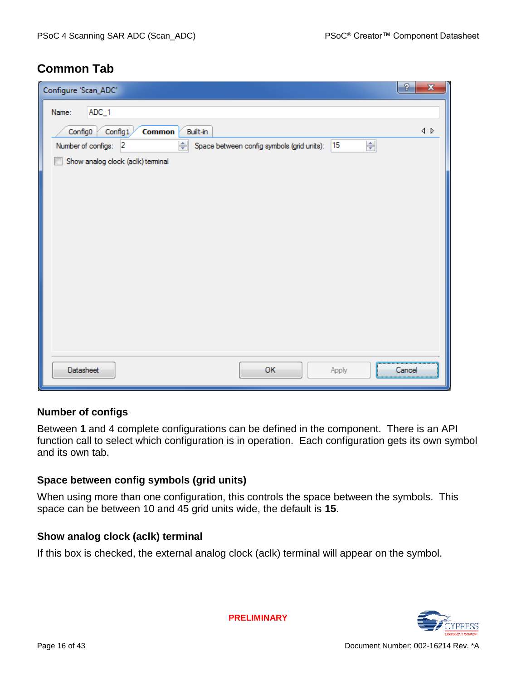# **Common Tab**

| Configure 'Scan_ADC'                                                                | P<br>$\mathbf{x}$ |
|-------------------------------------------------------------------------------------|-------------------|
| ADC_1<br>Name:                                                                      |                   |
| Config1<br>Built-in<br>Config0<br><b>Common</b>                                     | ∢ ♪               |
| ÷<br>Number of configs: 2<br>15<br>÷L<br>Space between config symbols (grid units): |                   |
| Show analog clock (aclk) terminal                                                   |                   |
|                                                                                     |                   |
|                                                                                     |                   |
|                                                                                     |                   |
|                                                                                     |                   |
|                                                                                     |                   |
|                                                                                     |                   |
|                                                                                     |                   |
|                                                                                     |                   |
|                                                                                     |                   |
|                                                                                     |                   |
|                                                                                     |                   |
| OK<br>Datasheet<br>Apply                                                            | Cancel            |
|                                                                                     |                   |

#### **Number of configs**

Between **1** and 4 complete configurations can be defined in the component. There is an API function call to select which configuration is in operation. Each configuration gets its own symbol and its own tab.

#### **Space between config symbols (grid units)**

When using more than one configuration, this controls the space between the symbols. This space can be between 10 and 45 grid units wide, the default is **15**.

#### **Show analog clock (aclk) terminal**

If this box is checked, the external analog clock (aclk) terminal will appear on the symbol.

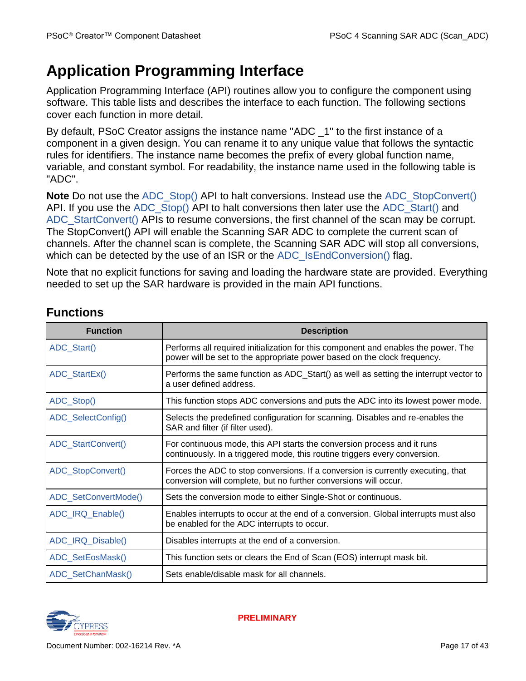# **Application Programming Interface**

Application Programming Interface (API) routines allow you to configure the component using software. This table lists and describes the interface to each function. The following sections cover each function in more detail.

By default, PSoC Creator assigns the instance name "ADC \_1" to the first instance of a component in a given design. You can rename it to any unique value that follows the syntactic rules for identifiers. The instance name becomes the prefix of every global function name, variable, and constant symbol. For readability, the instance name used in the following table is "ADC".

**Note** Do not use the [ADC\\_Stop\(\)](#page-18-0) API to halt conversions. Instead use the [ADC\\_StopConvert\(\)](#page-18-1) API. If you use the ADC Stop() API to halt conversions then later use the ADC Start() and ADC StartConvert() APIs to resume conversions, the first channel of the scan may be corrupt. The StopConvert() API will enable the Scanning SAR ADC to complete the current scan of channels. After the channel scan is complete, the Scanning SAR ADC will stop all conversions, which can be detected by the use of an ISR or the [ADC\\_IsEndConversion\(\)](#page-20-0) flag.

Note that no explicit functions for saving and loading the hardware state are provided. Everything needed to set up the SAR hardware is provided in the main API functions.

| <b>Function</b>      | <b>Description</b>                                                                                                                                             |
|----------------------|----------------------------------------------------------------------------------------------------------------------------------------------------------------|
| ADC_Start()          | Performs all required initialization for this component and enables the power. The<br>power will be set to the appropriate power based on the clock frequency. |
| ADC_StartEx()        | Performs the same function as ADC_Start() as well as setting the interrupt vector to<br>a user defined address.                                                |
| ADC_Stop()           | This function stops ADC conversions and puts the ADC into its lowest power mode.                                                                               |
| ADC_SelectConfig()   | Selects the predefined configuration for scanning. Disables and re-enables the<br>SAR and filter (if filter used).                                             |
| ADC_StartConvert()   | For continuous mode, this API starts the conversion process and it runs<br>continuously. In a triggered mode, this routine triggers every conversion.          |
| ADC_StopConvert()    | Forces the ADC to stop conversions. If a conversion is currently executing, that<br>conversion will complete, but no further conversions will occur.           |
| ADC_SetConvertMode() | Sets the conversion mode to either Single-Shot or continuous.                                                                                                  |
| ADC_IRQ_Enable()     | Enables interrupts to occur at the end of a conversion. Global interrupts must also<br>be enabled for the ADC interrupts to occur.                             |
| ADC_IRQ_Disable()    | Disables interrupts at the end of a conversion.                                                                                                                |
| ADC_SetEosMask()     | This function sets or clears the End of Scan (EOS) interrupt mask bit.                                                                                         |
| ADC_SetChanMask()    | Sets enable/disable mask for all channels.                                                                                                                     |

# **Functions**

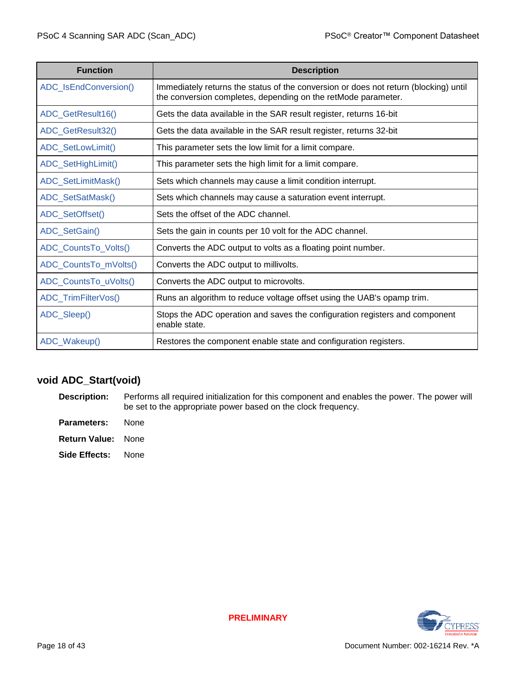| <b>Function</b>       | <b>Description</b>                                                                                                                                    |
|-----------------------|-------------------------------------------------------------------------------------------------------------------------------------------------------|
| ADC_IsEndConversion() | Immediately returns the status of the conversion or does not return (blocking) until<br>the conversion completes, depending on the retMode parameter. |
| ADC_GetResult16()     | Gets the data available in the SAR result register, returns 16-bit                                                                                    |
| ADC_GetResult32()     | Gets the data available in the SAR result register, returns 32-bit                                                                                    |
| ADC_SetLowLimit()     | This parameter sets the low limit for a limit compare.                                                                                                |
| ADC_SetHighLimit()    | This parameter sets the high limit for a limit compare.                                                                                               |
| ADC_SetLimitMask()    | Sets which channels may cause a limit condition interrupt.                                                                                            |
| ADC_SetSatMask()      | Sets which channels may cause a saturation event interrupt.                                                                                           |
| ADC_SetOffset()       | Sets the offset of the ADC channel.                                                                                                                   |
| ADC_SetGain()         | Sets the gain in counts per 10 volt for the ADC channel.                                                                                              |
| ADC_CountsTo_Volts()  | Converts the ADC output to volts as a floating point number.                                                                                          |
| ADC_CountsTo_mVolts() | Converts the ADC output to millivolts.                                                                                                                |
| ADC_CountsTo_uVolts() | Converts the ADC output to microvolts.                                                                                                                |
| ADC_TrimFilterVos()   | Runs an algorithm to reduce voltage offset using the UAB's opamp trim.                                                                                |
| ADC_Sleep()           | Stops the ADC operation and saves the configuration registers and component<br>enable state.                                                          |
| ADC_Wakeup()          | Restores the component enable state and configuration registers.                                                                                      |

### <span id="page-17-0"></span>**void ADC\_Start(void)**

**Description:** Performs all required initialization for this component and enables the power. The power will be set to the appropriate power based on the clock frequency.

- **Parameters:** None
- **Return Value:** None

**Side Effects:** None

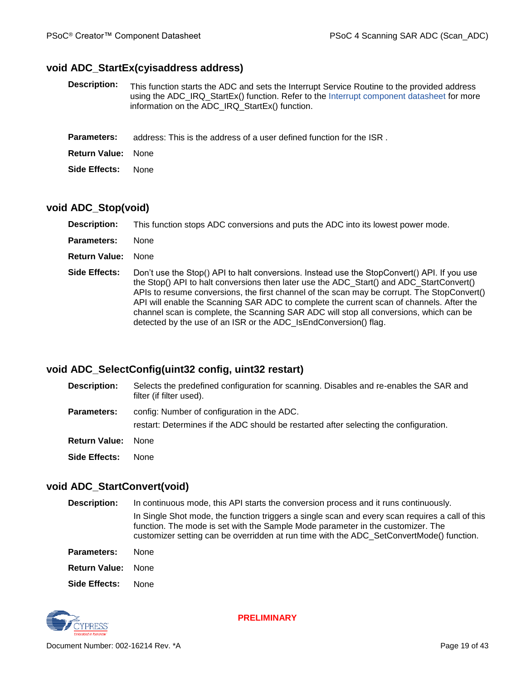#### <span id="page-18-3"></span>**void ADC\_StartEx(cyisaddress address)**

**Description:** This function starts the ADC and sets the Interrupt Service Routine to the provided address using the ADC\_IRQ\_StartEx() function. Refer to the [Interrupt component datasheet](http://www.cypress.com/?rID=46451) for more information on the ADC\_IRQ\_StartEx() function.

**Return Value:** None

**Side Effects:** None

#### <span id="page-18-0"></span>**void ADC\_Stop(void)**

| <b>Description:</b>  | This function stops ADC conversions and puts the ADC into its lowest power mode.                                                                                                                                                                                                                                                                                                                                                                                                                                                                 |
|----------------------|--------------------------------------------------------------------------------------------------------------------------------------------------------------------------------------------------------------------------------------------------------------------------------------------------------------------------------------------------------------------------------------------------------------------------------------------------------------------------------------------------------------------------------------------------|
| <b>Parameters:</b>   | <b>None</b>                                                                                                                                                                                                                                                                                                                                                                                                                                                                                                                                      |
| <b>Return Value:</b> | <b>None</b>                                                                                                                                                                                                                                                                                                                                                                                                                                                                                                                                      |
| Side Effects:        | Don't use the Stop() API to halt conversions. Instead use the StopConvert() API. If you use<br>the Stop() API to halt conversions then later use the ADC Start() and ADC StartConvert()<br>APIs to resume conversions, the first channel of the scan may be corrupt. The StopConvert()<br>API will enable the Scanning SAR ADC to complete the current scan of channels. After the<br>channel scan is complete, the Scanning SAR ADC will stop all conversions, which can be<br>detected by the use of an ISR or the ADC_IsEndConversion() flag. |

#### <span id="page-18-5"></span><span id="page-18-4"></span>**void ADC\_SelectConfig(uint32 config, uint32 restart)**

| <b>Description:</b>  | Selects the predefined configuration for scanning. Disables and re-enables the SAR and<br>filter (if filter used).                   |
|----------------------|--------------------------------------------------------------------------------------------------------------------------------------|
| <b>Parameters:</b>   | config: Number of configuration in the ADC.<br>restart: Determines if the ADC should be restarted after selecting the configuration. |
| <b>Return Value:</b> | <b>None</b>                                                                                                                          |
| Side Effects:        | None.                                                                                                                                |

#### <span id="page-18-2"></span>**void ADC\_StartConvert(void)**

**Description:** In continuous mode, this API starts the conversion process and it runs continuously. In Single Shot mode, the function triggers a single scan and every scan requires a call of this function. The mode is set with the Sample Mode parameter in the customizer. The customizer setting can be overridden at run time with the ADC\_SetConvertMode() function.

**Parameters:** None **Return Value:** None

**Side Effects:** None

<span id="page-18-1"></span>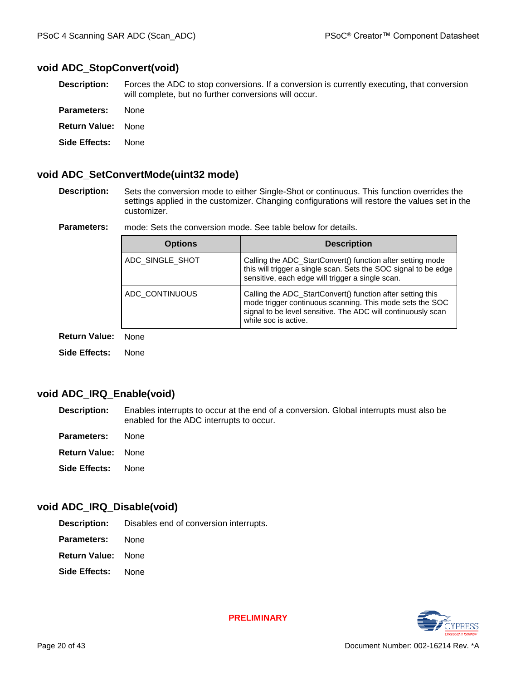#### **void ADC\_StopConvert(void)**

**Description:** Forces the ADC to stop conversions. If a conversion is currently executing, that conversion will complete, but no further conversions will occur.

| <b>Parameters:</b><br>None |  |
|----------------------------|--|
|----------------------------|--|

**Return Value:** None

**Side Effects:** None

#### <span id="page-19-0"></span>**void ADC\_SetConvertMode(uint32 mode)**

**Description:** Sets the conversion mode to either Single-Shot or continuous. This function overrides the settings applied in the customizer. Changing configurations will restore the values set in the customizer.

**Parameters:** mode: Sets the conversion mode. See table below for details.

| <b>Options</b>  | <b>Description</b>                                                                                                                                                                                             |
|-----------------|----------------------------------------------------------------------------------------------------------------------------------------------------------------------------------------------------------------|
| ADC SINGLE SHOT | Calling the ADC_StartConvert() function after setting mode<br>this will trigger a single scan. Sets the SOC signal to be edge<br>sensitive, each edge will trigger a single scan.                              |
| ADC CONTINUOUS  | Calling the ADC_StartConvert() function after setting this<br>mode trigger continuous scanning. This mode sets the SOC<br>signal to be level sensitive. The ADC will continuously scan<br>while soc is active. |

**Return Value:** None

**Side Effects:** None

#### <span id="page-19-1"></span>**void ADC\_IRQ\_Enable(void)**

- **Description:** Enables interrupts to occur at the end of a conversion. Global interrupts must also be enabled for the ADC interrupts to occur.
- **Parameters:** None
- **Return Value:** None
- **Side Effects:** None

#### <span id="page-19-2"></span>**void ADC\_IRQ\_Disable(void)**

**Description:** Disables end of conversion interrupts.

- **Parameters:** None
- **Return Value:** None
- **Side Effects:** None

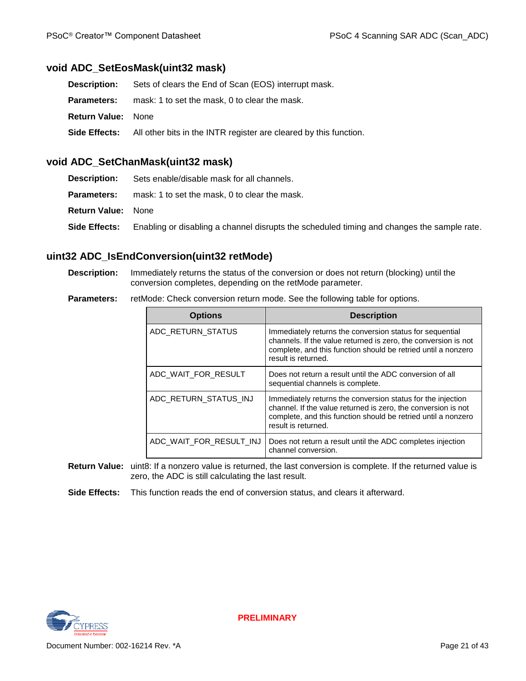#### <span id="page-20-1"></span>**void ADC\_SetEosMask(uint32 mask)**

| Description:              | Sets of clears the End of Scan (EOS) interrupt mask.                                   |
|---------------------------|----------------------------------------------------------------------------------------|
| <b>Parameters:</b>        | mask: 1 to set the mask, 0 to clear the mask.                                          |
| <b>Return Value: None</b> |                                                                                        |
|                           | <b>Side Effects:</b> All other bits in the INTR register are cleared by this function. |
|                           |                                                                                        |

#### <span id="page-20-2"></span>**void ADC\_SetChanMask(uint32 mask)**

| <b>Description:</b>       | Sets enable/disable mask for all channels.                                                 |
|---------------------------|--------------------------------------------------------------------------------------------|
| <b>Parameters:</b>        | mask: 1 to set the mask, 0 to clear the mask.                                              |
| <b>Return Value: None</b> |                                                                                            |
| <b>Side Effects:</b>      | Enabling or disabling a channel disrupts the scheduled timing and changes the sample rate. |

#### <span id="page-20-0"></span>**uint32 ADC\_IsEndConversion(uint32 retMode)**

- **Description:** Immediately returns the status of the conversion or does not return (blocking) until the conversion completes, depending on the retMode parameter.
- **Parameters:** retMode: Check conversion return mode. See the following table for options.

| <b>Options</b>          | <b>Description</b>                                                                                                                                                                                                   |
|-------------------------|----------------------------------------------------------------------------------------------------------------------------------------------------------------------------------------------------------------------|
| ADC RETURN STATUS       | Immediately returns the conversion status for sequential<br>channels. If the value returned is zero, the conversion is not<br>complete, and this function should be retried until a nonzero<br>result is returned.   |
| ADC WAIT FOR RESULT     | Does not return a result until the ADC conversion of all<br>sequential channels is complete.                                                                                                                         |
| ADC RETURN STATUS INJ   | Immediately returns the conversion status for the injection<br>channel. If the value returned is zero, the conversion is not<br>complete, and this function should be retried until a nonzero<br>result is returned. |
| ADC WAIT FOR RESULT INJ | Does not return a result until the ADC completes injection<br>channel conversion.                                                                                                                                    |

- **Return Value:** uint8: If a nonzero value is returned, the last conversion is complete. If the returned value is zero, the ADC is still calculating the last result.
- <span id="page-20-3"></span>**Side Effects:** This function reads the end of conversion status, and clears it afterward.

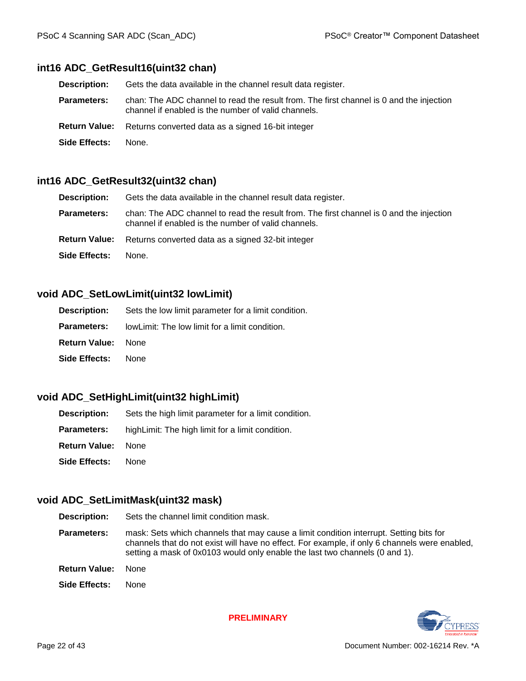#### **int16 ADC\_GetResult16(uint32 chan)**

| <b>Description:</b> | Gets the data available in the channel result data register.                                                                                   |  |
|---------------------|------------------------------------------------------------------------------------------------------------------------------------------------|--|
| <b>Parameters:</b>  | chan: The ADC channel to read the result from. The first channel is 0 and the injection<br>channel if enabled is the number of valid channels. |  |
|                     | <b>Return Value:</b> Returns converted data as a signed 16-bit integer                                                                         |  |
| Side Effects:       | None.                                                                                                                                          |  |

#### <span id="page-21-0"></span>**int16 ADC\_GetResult32(uint32 chan)**

| <b>Description:</b>  | Gets the data available in the channel result data register.                                                                                   |  |
|----------------------|------------------------------------------------------------------------------------------------------------------------------------------------|--|
| <b>Parameters:</b>   | chan: The ADC channel to read the result from. The first channel is 0 and the injection<br>channel if enabled is the number of valid channels. |  |
| <b>Return Value:</b> | Returns converted data as a signed 32-bit integer                                                                                              |  |
| Side Effects:        | None.                                                                                                                                          |  |

#### <span id="page-21-1"></span>**void ADC\_SetLowLimit(uint32 lowLimit)**

|                           | <b>Description:</b> Sets the low limit parameter for a limit condition. |
|---------------------------|-------------------------------------------------------------------------|
|                           | <b>Parameters:</b> lowLimit: The low limit for a limit condition.       |
| <b>Return Value:</b> None |                                                                         |
| <b>Side Effects: None</b> |                                                                         |

#### <span id="page-21-2"></span>**void ADC\_SetHighLimit(uint32 highLimit)**

| <b>Description:</b>       | Sets the high limit parameter for a limit condition. |
|---------------------------|------------------------------------------------------|
| Parameters:               | high Limit: The high limit for a limit condition.    |
| <b>Return Value:</b> None |                                                      |
| <b>Side Effects:</b> None |                                                      |

#### <span id="page-21-3"></span>**void ADC\_SetLimitMask(uint32 mask)**

**Description:** Sets the channel limit condition mask.

- **Parameters:** mask: Sets which channels that may cause a limit condition interrupt. Setting bits for channels that do not exist will have no effect. For example, if only 6 channels were enabled, setting a mask of 0x0103 would only enable the last two channels (0 and 1).
- **Return Value:** None
- **Side Effects:** None

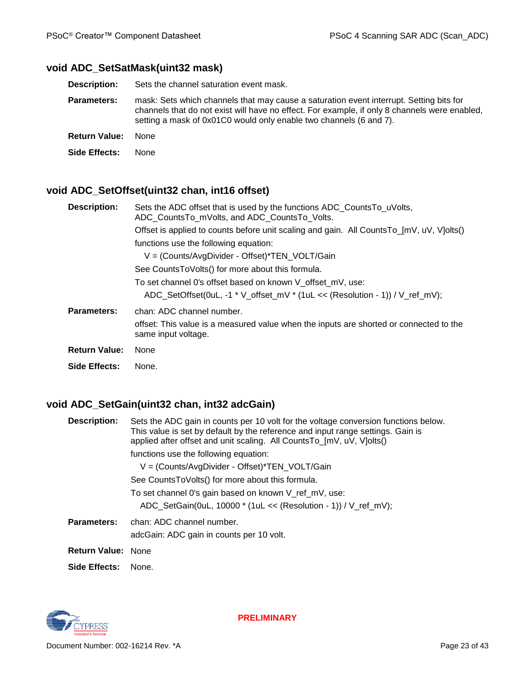#### <span id="page-22-0"></span>**void ADC\_SetSatMask(uint32 mask)**

**Description:** Sets the channel saturation event mask.

- **Parameters:** mask: Sets which channels that may cause a saturation event interrupt. Setting bits for channels that do not exist will have no effect. For example, if only 8 channels were enabled, setting a mask of 0x01C0 would only enable two channels (6 and 7).
- **Return Value:** None

**Side Effects:** None

### <span id="page-22-1"></span>**void ADC\_SetOffset(uint32 chan, int16 offset)**

| <b>Description:</b>                                                                      | Sets the ADC offset that is used by the functions ADC_CountsTo_uVolts,<br>ADC CountsTo mVolts, and ADC CountsTo Volts. |  |  |  |  |
|------------------------------------------------------------------------------------------|------------------------------------------------------------------------------------------------------------------------|--|--|--|--|
| Offset is applied to counts before unit scaling and gain. All CountsTo_[mV, uV, V]olts() |                                                                                                                        |  |  |  |  |
|                                                                                          | functions use the following equation:                                                                                  |  |  |  |  |
|                                                                                          | V = (Counts/AvgDivider - Offset)*TEN_VOLT/Gain                                                                         |  |  |  |  |
|                                                                                          | See CountsToVolts() for more about this formula.                                                                       |  |  |  |  |
|                                                                                          | To set channel 0's offset based on known V offset mV, use:                                                             |  |  |  |  |
|                                                                                          | ADC_SetOffset(0uL, -1 * V_offset_mV * (1uL << (Resolution - 1)) / V_ref_mV);                                           |  |  |  |  |
| Parameters:                                                                              | chan: ADC channel number.                                                                                              |  |  |  |  |
|                                                                                          | offset: This value is a measured value when the inputs are shorted or connected to the<br>same input voltage.          |  |  |  |  |
| <b>Return Value:</b>                                                                     | None                                                                                                                   |  |  |  |  |
| Side Effects:                                                                            | None.                                                                                                                  |  |  |  |  |

#### <span id="page-22-2"></span>**void ADC\_SetGain(uint32 chan, int32 adcGain)**

| <b>Description:</b>       | Sets the ADC gain in counts per 10 volt for the voltage conversion functions below.<br>This value is set by default by the reference and input range settings. Gain is<br>applied after offset and unit scaling. All CountsTo_[mV, uV, V]olts() |  |  |  |
|---------------------------|-------------------------------------------------------------------------------------------------------------------------------------------------------------------------------------------------------------------------------------------------|--|--|--|
|                           | functions use the following equation:                                                                                                                                                                                                           |  |  |  |
|                           | V = (Counts/AvgDivider - Offset)*TEN_VOLT/Gain                                                                                                                                                                                                  |  |  |  |
|                           | See CountsToVolts() for more about this formula.                                                                                                                                                                                                |  |  |  |
|                           | To set channel 0's gain based on known V ref mV, use:                                                                                                                                                                                           |  |  |  |
|                           | ADC_SetGain(0uL, 10000 * (1uL << (Resolution - 1)) / V_ref_mV);                                                                                                                                                                                 |  |  |  |
| <b>Parameters:</b>        | chan: ADC channel number.                                                                                                                                                                                                                       |  |  |  |
|                           | adcGain: ADC gain in counts per 10 volt.                                                                                                                                                                                                        |  |  |  |
| <b>Return Value: None</b> |                                                                                                                                                                                                                                                 |  |  |  |
| Side Effects:             | None.                                                                                                                                                                                                                                           |  |  |  |

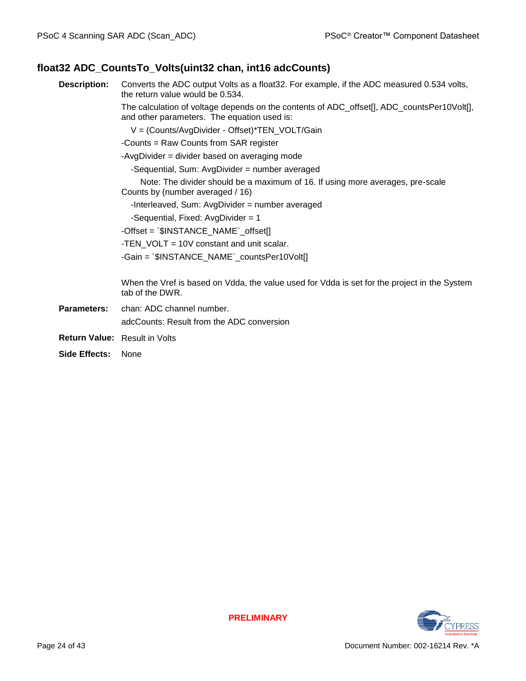#### <span id="page-23-0"></span>**float32 ADC\_CountsTo\_Volts(uint32 chan, int16 adcCounts)**

**Description:** Converts the ADC output Volts as a float32. For example, if the ADC measured 0.534 volts, the return value would be 0.534.

> The calculation of voltage depends on the contents of ADC\_offset[], ADC\_countsPer10Volt[], and other parameters. The equation used is:

V = (Counts/AvgDivider - Offset)\*TEN\_VOLT/Gain

-Counts = Raw Counts from SAR register

-AvgDivider = divider based on averaging mode

-Sequential, Sum: AvgDivider = number averaged

 Note: The divider should be a maximum of 16. If using more averages, pre-scale Counts by (number averaged / 16)

-Interleaved, Sum: AvgDivider = number averaged

-Sequential, Fixed: AvgDivider = 1

-Offset = `\$INSTANCE\_NAME`\_offset[]

-TEN\_VOLT = 10V constant and unit scalar.

-Gain = `\$INSTANCE\_NAME`\_countsPer10Volt[]

When the Vref is based on Vdda, the value used for Vdda is set for the project in the System tab of the DWR.

- **Parameters:** chan: ADC channel number. adcCounts: Result from the ADC conversion
- **Return Value:** Result in Volts
- **Side Effects:** None

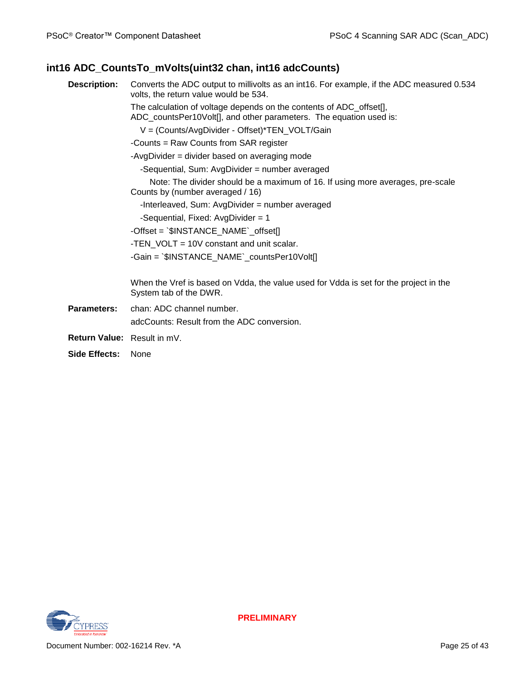## <span id="page-24-0"></span>**int16 ADC\_CountsTo\_mVolts(uint32 chan, int16 adcCounts)**

| <b>Description:</b> | Converts the ADC output to millivolts as an int16. For example, if the ADC measured 0.534<br>volts, the return value would be 534.        |  |  |  |
|---------------------|-------------------------------------------------------------------------------------------------------------------------------------------|--|--|--|
|                     | The calculation of voltage depends on the contents of ADC_offset[],<br>ADC_countsPer10Volt[], and other parameters. The equation used is: |  |  |  |
|                     | V = (Counts/AvgDivider - Offset)*TEN_VOLT/Gain                                                                                            |  |  |  |
|                     | -Counts = Raw Counts from SAR register                                                                                                    |  |  |  |
|                     | -AvgDivider = divider based on averaging mode                                                                                             |  |  |  |
|                     | -Sequential, Sum: AvgDivider = number averaged                                                                                            |  |  |  |
|                     | Note: The divider should be a maximum of 16. If using more averages, pre-scale<br>Counts by (number averaged / 16)                        |  |  |  |
|                     | -Interleaved, Sum: AvgDivider = number averaged                                                                                           |  |  |  |
|                     | -Sequential, Fixed: AvgDivider = 1                                                                                                        |  |  |  |
|                     | -Offset = `\$INSTANCE_NAME`_offset[]                                                                                                      |  |  |  |
|                     | -TEN VOLT = 10V constant and unit scalar.                                                                                                 |  |  |  |
|                     | -Gain = `\$INSTANCE_NAME`_countsPer10Volt[]                                                                                               |  |  |  |
|                     |                                                                                                                                           |  |  |  |
|                     | When the Vref is based on Vdda, the value used for Vdda is set for the project in the<br>System tab of the DWR.                           |  |  |  |
| Parameters:         | chan: ADC channel number.                                                                                                                 |  |  |  |
|                     | adcCounts: Result from the ADC conversion.                                                                                                |  |  |  |
|                     | <b>Return Value:</b> Result in mV.                                                                                                        |  |  |  |
| Side Effects:       | None                                                                                                                                      |  |  |  |

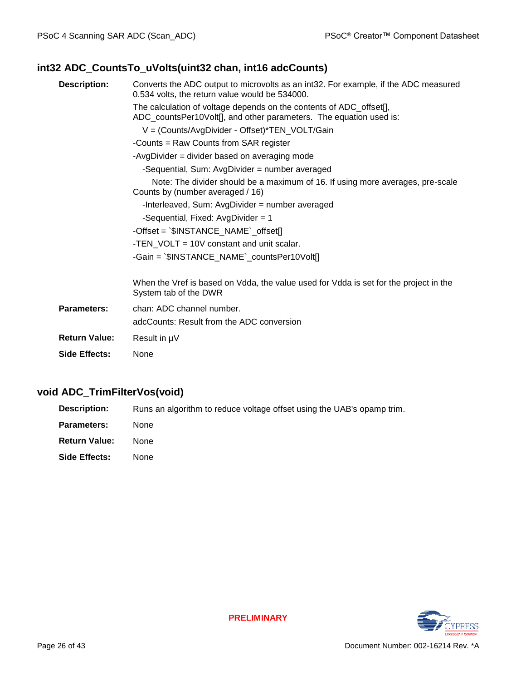## <span id="page-25-0"></span>**int32 ADC\_CountsTo\_uVolts(uint32 chan, int16 adcCounts)**

| Converts the ADC output to microvolts as an int32. For example, if the ADC measured<br><b>Description:</b><br>0.534 volts, the return value would be 534000. |                                                                                                                                           |  |  |  |
|--------------------------------------------------------------------------------------------------------------------------------------------------------------|-------------------------------------------------------------------------------------------------------------------------------------------|--|--|--|
|                                                                                                                                                              | The calculation of voltage depends on the contents of ADC_offset[],<br>ADC_countsPer10Volt[], and other parameters. The equation used is: |  |  |  |
|                                                                                                                                                              | V = (Counts/AvgDivider - Offset)*TEN_VOLT/Gain                                                                                            |  |  |  |
|                                                                                                                                                              | -Counts = Raw Counts from SAR register                                                                                                    |  |  |  |
|                                                                                                                                                              | -AvgDivider = divider based on averaging mode                                                                                             |  |  |  |
|                                                                                                                                                              | -Sequential, Sum: AvgDivider = number averaged                                                                                            |  |  |  |
|                                                                                                                                                              | Note: The divider should be a maximum of 16. If using more averages, pre-scale<br>Counts by (number averaged / 16)                        |  |  |  |
|                                                                                                                                                              | -Interleaved, Sum: AvgDivider = number averaged                                                                                           |  |  |  |
|                                                                                                                                                              | -Sequential, Fixed: AvgDivider = 1                                                                                                        |  |  |  |
|                                                                                                                                                              | $-$ Offset = $\Im$ INSTANCE_NAME`_offset[]                                                                                                |  |  |  |
|                                                                                                                                                              | -TEN VOLT = 10V constant and unit scalar.                                                                                                 |  |  |  |
|                                                                                                                                                              | -Gain = `\$INSTANCE_NAME`_countsPer10Volt[]                                                                                               |  |  |  |
|                                                                                                                                                              |                                                                                                                                           |  |  |  |
|                                                                                                                                                              | When the Vref is based on Vdda, the value used for Vdda is set for the project in the<br>System tab of the DWR                            |  |  |  |
| <b>Parameters:</b>                                                                                                                                           | chan: ADC channel number.                                                                                                                 |  |  |  |
|                                                                                                                                                              | adcCounts: Result from the ADC conversion                                                                                                 |  |  |  |
| <b>Return Value:</b>                                                                                                                                         | Result in µV                                                                                                                              |  |  |  |
| Side Effects:                                                                                                                                                | None                                                                                                                                      |  |  |  |

#### <span id="page-25-1"></span>**void ADC\_TrimFilterVos(void)**

**Description:** Runs an algorithm to reduce voltage offset using the UAB's opamp trim.

- **Parameters:** None
- **Return Value:** None

**Side Effects:** None

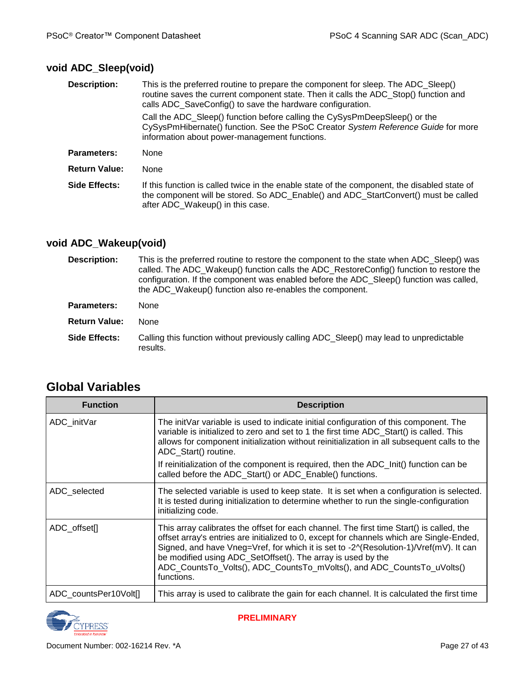# <span id="page-26-0"></span>**void ADC\_Sleep(void)**

| This is the preferred routine to prepare the component for sleep. The ADC_Sleep()<br>routine saves the current component state. Then it calls the ADC Stop() function and<br>calls ADC_SaveConfig() to save the hardware configuration. |  |  |  |  |
|-----------------------------------------------------------------------------------------------------------------------------------------------------------------------------------------------------------------------------------------|--|--|--|--|
| Call the ADC Sleep() function before calling the CySysPmDeepSleep() or the<br>CySysPmHibernate() function. See the PSoC Creator System Reference Guide for more<br>information about power-management functions.                        |  |  |  |  |
| None                                                                                                                                                                                                                                    |  |  |  |  |
| None                                                                                                                                                                                                                                    |  |  |  |  |
| If this function is called twice in the enable state of the component, the disabled state of<br>the component will be stored. So ADC_Enable() and ADC_StartConvert() must be called<br>after ADC_Wakeup() in this case.                 |  |  |  |  |
|                                                                                                                                                                                                                                         |  |  |  |  |

### <span id="page-26-1"></span>**void ADC\_Wakeup(void)**

| <b>Description:</b>  | This is the preferred routine to restore the component to the state when ADC Sleep() was<br>called. The ADC Wakeup() function calls the ADC RestoreConfig() function to restore the<br>configuration. If the component was enabled before the ADC_Sleep() function was called,<br>the ADC_Wakeup() function also re-enables the component. |  |  |  |
|----------------------|--------------------------------------------------------------------------------------------------------------------------------------------------------------------------------------------------------------------------------------------------------------------------------------------------------------------------------------------|--|--|--|
| Parameters:          | None                                                                                                                                                                                                                                                                                                                                       |  |  |  |
| <b>Return Value:</b> | <b>None</b>                                                                                                                                                                                                                                                                                                                                |  |  |  |
| Side Effects:        | Calling this function without previously calling ADC Sleep() may lead to unpredictable<br>results.                                                                                                                                                                                                                                         |  |  |  |

| <b>Function</b>       | <b>Description</b>                                                                                                                                                                                                                                                                                                                                                                                                                   |  |  |  |
|-----------------------|--------------------------------------------------------------------------------------------------------------------------------------------------------------------------------------------------------------------------------------------------------------------------------------------------------------------------------------------------------------------------------------------------------------------------------------|--|--|--|
| ADC_initVar           | The initVar variable is used to indicate initial configuration of this component. The<br>variable is initialized to zero and set to 1 the first time ADC_Start() is called. This<br>allows for component initialization without reinitialization in all subsequent calls to the<br>ADC Start() routine.                                                                                                                              |  |  |  |
|                       | If reinitialization of the component is required, then the ADC_Init() function can be<br>called before the ADC_Start() or ADC_Enable() functions.                                                                                                                                                                                                                                                                                    |  |  |  |
| ADC selected          | The selected variable is used to keep state. It is set when a configuration is selected.<br>It is tested during initialization to determine whether to run the single-configuration<br>initializing code.                                                                                                                                                                                                                            |  |  |  |
| ADC_offset[]          | This array calibrates the offset for each channel. The first time Start() is called, the<br>offset array's entries are initialized to 0, except for channels which are Single-Ended,<br>Signed, and have Vneg=Vref, for which it is set to -2^(Resolution-1)/Vref(mV). It can<br>be modified using ADC_SetOffset(). The array is used by the<br>ADC_CountsTo_Volts(), ADC_CountsTo_mVolts(), and ADC_CountsTo_uVolts()<br>functions. |  |  |  |
| ADC_countsPer10Volt[] | This array is used to calibrate the gain for each channel. It is calculated the first time                                                                                                                                                                                                                                                                                                                                           |  |  |  |

# **Global Variables**

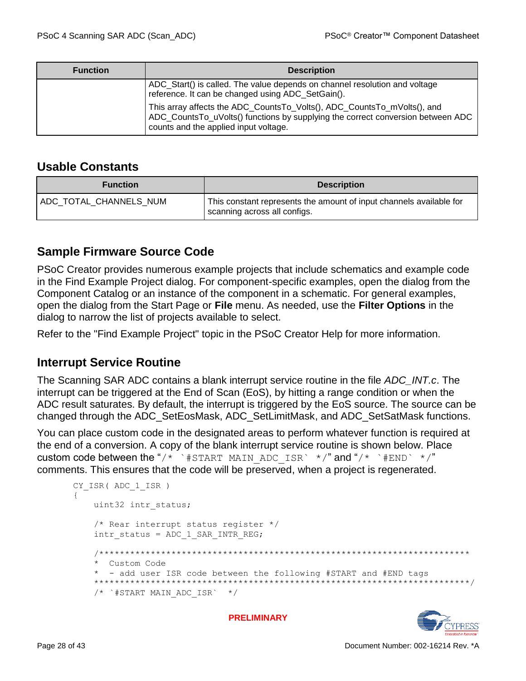| <b>Function</b> | <b>Description</b>                                                                                                                                                                                  |  |  |  |  |
|-----------------|-----------------------------------------------------------------------------------------------------------------------------------------------------------------------------------------------------|--|--|--|--|
|                 | ADC_Start() is called. The value depends on channel resolution and voltage<br>reference. It can be changed using ADC_SetGain().                                                                     |  |  |  |  |
|                 | This array affects the ADC_CountsTo_Volts(), ADC_CountsTo_mVolts(), and<br>ADC_CountsTo_uVolts() functions by supplying the correct conversion between ADC<br>counts and the applied input voltage. |  |  |  |  |

## **Usable Constants**

| <b>Function</b>         | <b>Description</b>                                                                                  |  |  |
|-------------------------|-----------------------------------------------------------------------------------------------------|--|--|
| ADC_TOTAL_CHANNELS_NUM_ | This constant represents the amount of input channels available for<br>scanning across all configs. |  |  |

## **Sample Firmware Source Code**

PSoC Creator provides numerous example projects that include schematics and example code in the Find Example Project dialog. For component-specific examples, open the dialog from the Component Catalog or an instance of the component in a schematic. For general examples, open the dialog from the Start Page or **File** menu. As needed, use the **Filter Options** in the dialog to narrow the list of projects available to select.

Refer to the "Find Example Project" topic in the PSoC Creator Help for more information.

## **Interrupt Service Routine**

The Scanning SAR ADC contains a blank interrupt service routine in the file *ADC\_INT.c*. The interrupt can be triggered at the End of Scan (EoS), by hitting a range condition or when the ADC result saturates. By default, the interrupt is triggered by the EoS source. The source can be changed through the ADC\_SetEosMask, ADC\_SetLimitMask, and ADC\_SetSatMask functions.

You can place custom code in the designated areas to perform whatever function is required at the end of a conversion. A copy of the blank interrupt service routine is shown below. Place custom code between the "/\* `#START MAIN ADC ISR` \*/" and "/\* `#END` \*/" comments. This ensures that the code will be preserved, when a project is regenerated.

```
CY ISR( ADC 1 ISR )
 {
   uint32 intr_status;
    /* Rear interrupt status register */
   intr_status = ADC_1_SAR_INTR_REG;
     /************************************************************************
     * Custom Code
     * - add user ISR code between the following #START and #END tags
     *************************************************************************/
    /* `#START MAIN ADC ISR` */
```
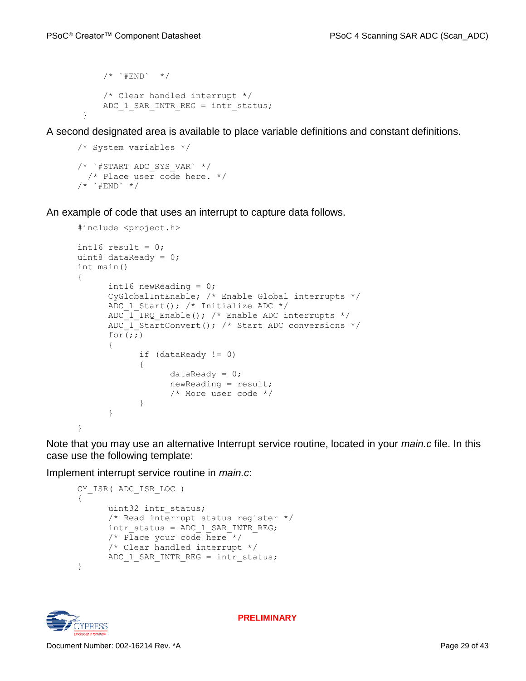```
/* * # END * /
     /* Clear handled interrupt */
    ADC 1 SAR INTR REG = intr status;
 }
```
A second designated area is available to place variable definitions and constant definitions.

```
/* System variables */
/* `#START ADC_SYS_VAR` */
  /* Place user code here. */
/* * #END */
```
An example of code that uses an interrupt to capture data follows.

```
#include <project.h> 
int16 result = 0;
uint8 dataReady = 0; 
int main() 
{ 
      int16 newReading = 0;
      CyGlobalIntEnable; /* Enable Global interrupts */ 
      ADC 1 Start(); /* Initialize ADC */ADC 1 IRQ Enable(); /* Enable ADC interrupts */
      ADC<sup>1</sup> StartConvert(); /* Start ADC conversions */
      for \overline{;}{ 
             if (dataReady != 0) 
             { 
                   dataReady = 0;newReading = result; 
                   /* More user code */ 
             } 
      } 
}
```
Note that you may use an alternative Interrupt service routine, located in your *main.c* file. In this case use the following template:

Implement interrupt service routine in *main.c*:

```
CY_ISR( ADC_ISR_LOC ) 
{ 
      uint32 intr_status;
      /* Read interrupt status register */ 
      intr_status = ADC_1_SAR_INTR_REG;
      /* Place your code here */ 
      /* Clear handled interrupt */ 
      ADC 1 SAR INTR REG = intr status;
}
```
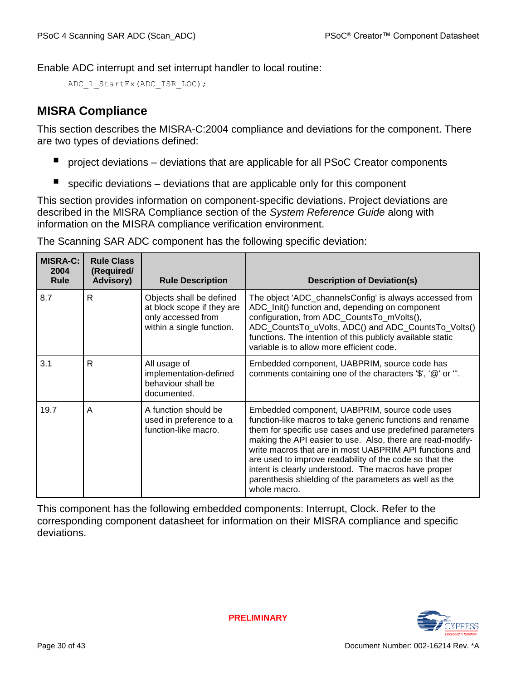Enable ADC interrupt and set interrupt handler to local routine:

```
ADC 1 StartEx(ADC ISR LOC);
```
# **MISRA Compliance**

This section describes the MISRA-C:2004 compliance and deviations for the component. There are two types of deviations defined:

- project deviations deviations that are applicable for all PSoC Creator components
- $\blacksquare$  specific deviations deviations that are applicable only for this component

This section provides information on component-specific deviations. Project deviations are described in the MISRA Compliance section of the *System Reference Guide* along with information on the MISRA compliance verification environment.

| <b>MISRA-C:</b><br>2004<br><b>Rule</b> | <b>Rule Class</b><br>(Required/<br><b>Advisory)</b> | <b>Rule Description</b>                                                                                   | <b>Description of Deviation(s)</b>                                                                                                                                                                                                                                                                                                                                                                                                                                                            |
|----------------------------------------|-----------------------------------------------------|-----------------------------------------------------------------------------------------------------------|-----------------------------------------------------------------------------------------------------------------------------------------------------------------------------------------------------------------------------------------------------------------------------------------------------------------------------------------------------------------------------------------------------------------------------------------------------------------------------------------------|
| 8.7                                    | R                                                   | Objects shall be defined<br>at block scope if they are<br>only accessed from<br>within a single function. | The object 'ADC_channelsConfig' is always accessed from<br>ADC_Init() function and, depending on component<br>configuration, from ADC_CountsTo_mVolts(),<br>ADC_CountsTo_uVolts, ADC() and ADC_CountsTo_Volts()<br>functions. The intention of this publicly available static<br>variable is to allow more efficient code.                                                                                                                                                                    |
| 3.1                                    | R                                                   | All usage of<br>implementation-defined<br>behaviour shall be<br>documented.                               | Embedded component, UABPRIM, source code has<br>comments containing one of the characters '\$', '@' or "'.                                                                                                                                                                                                                                                                                                                                                                                    |
| 19.7                                   | A                                                   | A function should be<br>used in preference to a<br>function-like macro.                                   | Embedded component, UABPRIM, source code uses<br>function-like macros to take generic functions and rename<br>them for specific use cases and use predefined parameters<br>making the API easier to use. Also, there are read-modify-<br>write macros that are in most UABPRIM API functions and<br>are used to improve readability of the code so that the<br>intent is clearly understood. The macros have proper<br>parenthesis shielding of the parameters as well as the<br>whole macro. |

The Scanning SAR ADC component has the following specific deviation:

This component has the following embedded components: Interrupt, Clock. Refer to the corresponding component datasheet for information on their MISRA compliance and specific deviations.

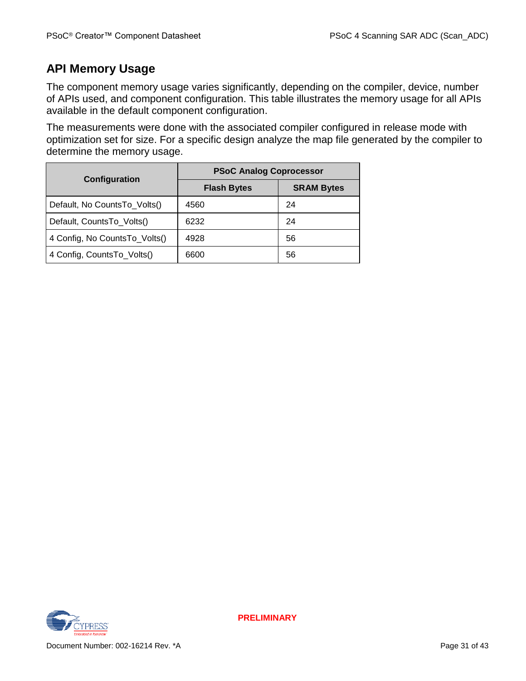## **API Memory Usage**

The component memory usage varies significantly, depending on the compiler, device, number of APIs used, and component configuration. This table illustrates the memory usage for all APIs available in the default component configuration.

The measurements were done with the associated compiler configured in release mode with optimization set for size. For a specific design analyze the map file generated by the compiler to determine the memory usage.

| Configuration                 | <b>PSoC Analog Coprocessor</b> |                   |  |  |
|-------------------------------|--------------------------------|-------------------|--|--|
|                               | <b>Flash Bytes</b>             | <b>SRAM Bytes</b> |  |  |
| Default, No CountsTo_Volts()  | 4560                           | 24                |  |  |
| Default, CountsTo_Volts()     | 6232                           | 24                |  |  |
| 4 Config, No CountsTo_Volts() | 4928                           | 56                |  |  |
| 4 Config, CountsTo_Volts()    | 6600                           | 56                |  |  |

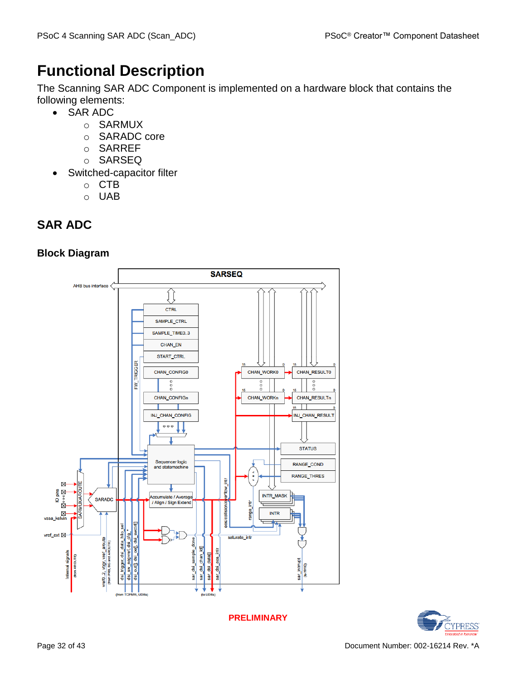# **Functional Description**

The Scanning SAR ADC Component is implemented on a hardware block that contains the following elements:

- SAR ADC
	- o SARMUX
	- o SARADC core
	- o SARREF
	- o SARSEQ
- Switched-capacitor filter
	- o CTB
	- o UAB

# **SAR ADC**

## **Block Diagram**



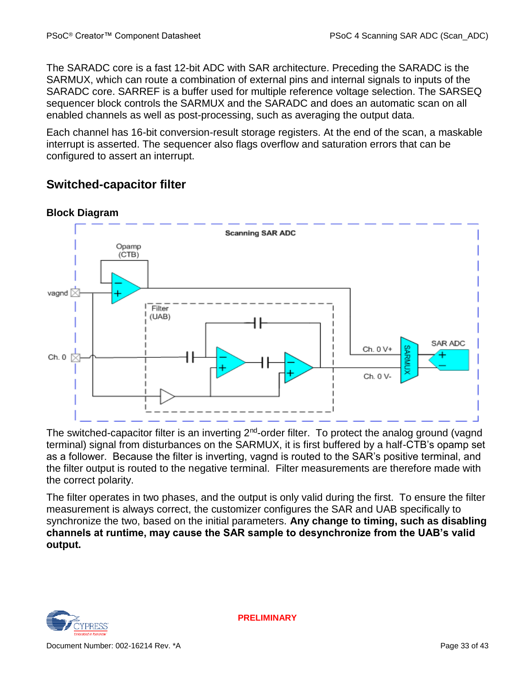The SARADC core is a fast 12-bit ADC with SAR architecture. Preceding the SARADC is the SARMUX, which can route a combination of external pins and internal signals to inputs of the SARADC core. SARREF is a buffer used for multiple reference voltage selection. The SARSEQ sequencer block controls the SARMUX and the SARADC and does an automatic scan on all enabled channels as well as post-processing, such as averaging the output data.

Each channel has 16-bit conversion-result storage registers. At the end of the scan, a maskable interrupt is asserted. The sequencer also flags overflow and saturation errors that can be configured to assert an interrupt.

# <span id="page-32-0"></span>**Switched-capacitor filter**



**Block Diagram**

The switched-capacitor filter is an inverting 2<sup>nd</sup>-order filter. To protect the analog ground (vagnd terminal) signal from disturbances on the SARMUX, it is first buffered by a half-CTB's opamp set as a follower. Because the filter is inverting, vagnd is routed to the SAR's positive terminal, and the filter output is routed to the negative terminal. Filter measurements are therefore made with the correct polarity.

The filter operates in two phases, and the output is only valid during the first. To ensure the filter measurement is always correct, the customizer configures the SAR and UAB specifically to synchronize the two, based on the initial parameters. **Any change to timing, such as disabling channels at runtime, may cause the SAR sample to desynchronize from the UAB's valid output.**

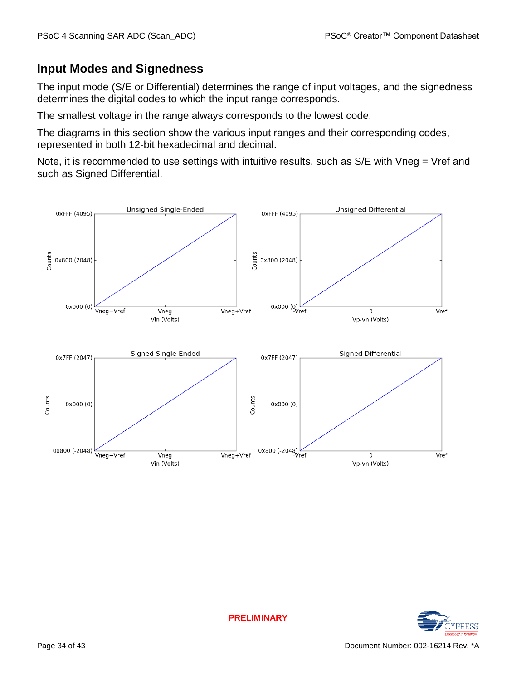## **Input Modes and Signedness**

The input mode (S/E or Differential) determines the range of input voltages, and the signedness determines the digital codes to which the input range corresponds.

The smallest voltage in the range always corresponds to the lowest code.

The diagrams in this section show the various input ranges and their corresponding codes, represented in both 12-bit hexadecimal and decimal.

Note, it is recommended to use settings with intuitive results, such as S/E with Vneg = Vref and such as Signed Differential.



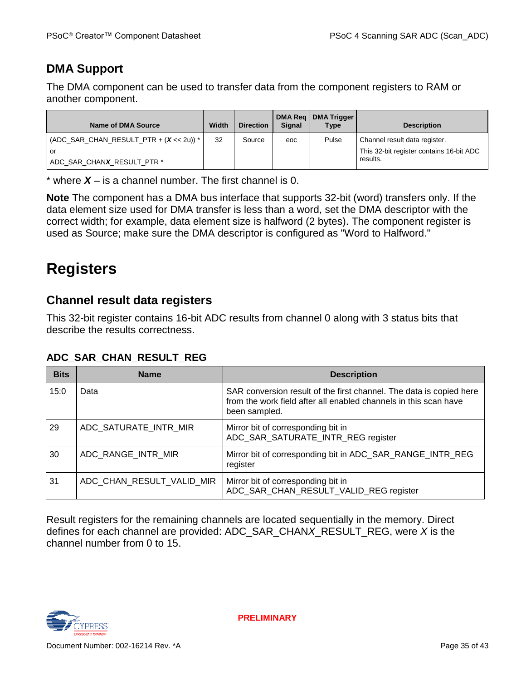# **DMA Support**

The DMA component can be used to transfer data from the component registers to RAM or another component.

| Name of DMA Source                        | Width | <b>Direction</b> | <b>Signal</b> | DMA Reg   DMA Trigger<br><b>Type</b> | <b>Description</b>                       |
|-------------------------------------------|-------|------------------|---------------|--------------------------------------|------------------------------------------|
| $(ADC_SAR_CHAN_RESULT_PTR + (X << 2u))$ * | 32    | Source           | eoc           | Pulse                                | Channel result data register.            |
| or                                        |       |                  |               |                                      | This 32-bit register contains 16-bit ADC |
| ADC SAR CHANX RESULT PTR *                |       |                  |               |                                      | results.                                 |

\* where *X* – is a channel number. The first channel is 0.

**Note** The component has a DMA bus interface that supports 32-bit (word) transfers only. If the data element size used for DMA transfer is less than a word, set the DMA descriptor with the correct width; for example, data element size is halfword (2 bytes). The component register is used as Source; make sure the DMA descriptor is configured as "Word to Halfword."

# **Registers**

## **Channel result data registers**

This 32-bit register contains 16-bit ADC results from channel 0 along with 3 status bits that describe the results correctness.

### **ADC\_SAR\_CHAN\_RESULT\_REG**

| <b>Bits</b> | <b>Name</b>               | <b>Description</b>                                                                                                                                       |
|-------------|---------------------------|----------------------------------------------------------------------------------------------------------------------------------------------------------|
| 15:0        | Data                      | SAR conversion result of the first channel. The data is copied here<br>from the work field after all enabled channels in this scan have<br>been sampled. |
| 29          | ADC_SATURATE_INTR_MIR     | Mirror bit of corresponding bit in<br>ADC_SAR_SATURATE_INTR_REG register                                                                                 |
| 30          | ADC_RANGE_INTR_MIR        | Mirror bit of corresponding bit in ADC_SAR_RANGE_INTR_REG<br>register                                                                                    |
| 31          | ADC_CHAN_RESULT_VALID_MIR | Mirror bit of corresponding bit in<br>ADC_SAR_CHAN_RESULT_VALID_REG register                                                                             |

Result registers for the remaining channels are located sequentially in the memory. Direct defines for each channel are provided: ADC\_SAR\_CHAN*X*\_RESULT\_REG, were *X* is the channel number from 0 to 15.

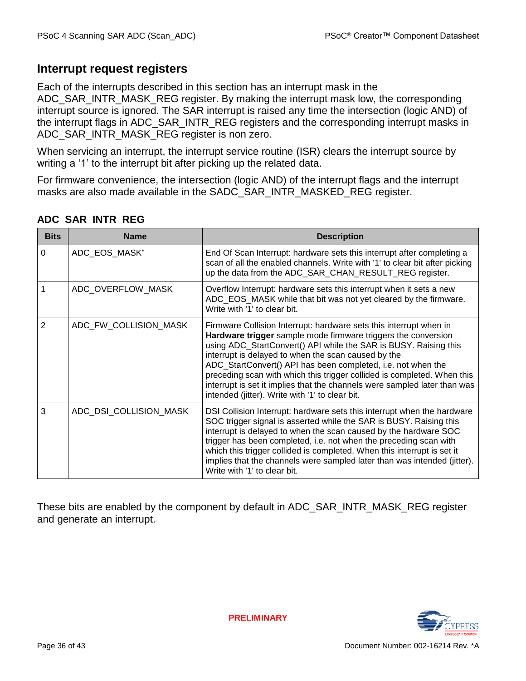## **Interrupt request registers**

Each of the interrupts described in this section has an interrupt mask in the ADC\_SAR\_INTR\_MASK\_REG register. By making the interrupt mask low, the corresponding interrupt source is ignored. The SAR interrupt is raised any time the intersection (logic AND) of the interrupt flags in ADC\_SAR\_INTR\_REG registers and the corresponding interrupt masks in ADC\_SAR\_INTR\_MASK\_REG register is non zero.

When servicing an interrupt, the interrupt service routine (ISR) clears the interrupt source by writing a '1' to the interrupt bit after picking up the related data.

For firmware convenience, the intersection (logic AND) of the interrupt flags and the interrupt masks are also made available in the SADC\_SAR\_INTR\_MASKED\_REG register.

| <b>Bits</b> | <b>Name</b>            | <b>Description</b>                                                                                                                                                                                                                                                                                                                                                                                                                                                                                                                        |  |  |  |  |  |  |
|-------------|------------------------|-------------------------------------------------------------------------------------------------------------------------------------------------------------------------------------------------------------------------------------------------------------------------------------------------------------------------------------------------------------------------------------------------------------------------------------------------------------------------------------------------------------------------------------------|--|--|--|--|--|--|
| 0           | ADC EOS MASK*          | End Of Scan Interrupt: hardware sets this interrupt after completing a<br>scan of all the enabled channels. Write with '1' to clear bit after picking<br>up the data from the ADC_SAR_CHAN_RESULT_REG register.                                                                                                                                                                                                                                                                                                                           |  |  |  |  |  |  |
| 1           | ADC_OVERFLOW_MASK      | Overflow Interrupt: hardware sets this interrupt when it sets a new<br>ADC_EOS_MASK while that bit was not yet cleared by the firmware.<br>Write with '1' to clear bit.                                                                                                                                                                                                                                                                                                                                                                   |  |  |  |  |  |  |
| 2           | ADC_FW_COLLISION_MASK  | Firmware Collision Interrupt: hardware sets this interrupt when in<br>Hardware trigger sample mode firmware triggers the conversion<br>using ADC_StartConvert() API while the SAR is BUSY. Raising this<br>interrupt is delayed to when the scan caused by the<br>ADC_StartConvert() API has been completed, i.e. not when the<br>preceding scan with which this trigger collided is completed. When this<br>interrupt is set it implies that the channels were sampled later than was<br>intended (jitter). Write with '1' to clear bit. |  |  |  |  |  |  |
| 3           | ADC_DSI_COLLISION_MASK | DSI Collision Interrupt: hardware sets this interrupt when the hardware<br>SOC trigger signal is asserted while the SAR is BUSY. Raising this<br>interrupt is delayed to when the scan caused by the hardware SOC<br>trigger has been completed, i.e. not when the preceding scan with<br>which this trigger collided is completed. When this interrupt is set it<br>implies that the channels were sampled later than was intended (jitter).<br>Write with '1' to clear bit.                                                             |  |  |  |  |  |  |

### **ADC\_SAR\_INTR\_REG**

These bits are enabled by the component by default in ADC\_SAR\_INTR\_MASK\_REG register and generate an interrupt.

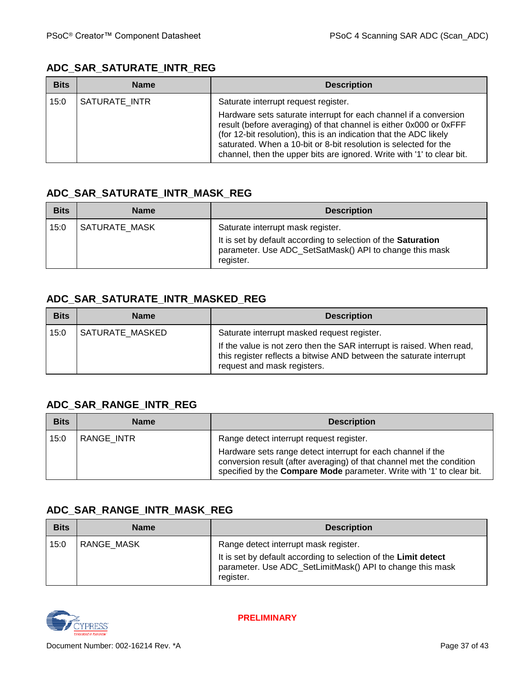#### **ADC\_SAR\_SATURATE\_INTR\_REG**

| <b>Bits</b> | <b>Name</b>   | <b>Description</b>                                                                                                                                                                                                                                                                                                                                          |  |  |  |  |  |  |
|-------------|---------------|-------------------------------------------------------------------------------------------------------------------------------------------------------------------------------------------------------------------------------------------------------------------------------------------------------------------------------------------------------------|--|--|--|--|--|--|
| 15:0        | SATURATE INTR | Saturate interrupt request register.                                                                                                                                                                                                                                                                                                                        |  |  |  |  |  |  |
|             |               | Hardware sets saturate interrupt for each channel if a conversion<br>result (before averaging) of that channel is either 0x000 or 0xFFF<br>(for 12-bit resolution), this is an indication that the ADC likely<br>saturated. When a 10-bit or 8-bit resolution is selected for the<br>channel, then the upper bits are ignored. Write with '1' to clear bit. |  |  |  |  |  |  |

#### **ADC\_SAR\_SATURATE\_INTR\_MASK\_REG**

| <b>Bits</b> | <b>Name</b>   | <b>Description</b>                                                                                                                                                         |  |  |  |  |  |  |
|-------------|---------------|----------------------------------------------------------------------------------------------------------------------------------------------------------------------------|--|--|--|--|--|--|
| 15:0        | SATURATE MASK | Saturate interrupt mask register.<br>It is set by default according to selection of the Saturation<br>parameter. Use ADC_SetSatMask() API to change this mask<br>register. |  |  |  |  |  |  |

## **ADC\_SAR\_SATURATE\_INTR\_MASKED\_REG**

| <b>Bits</b> | <b>Name</b>     | <b>Description</b>                                                                                                                                                          |  |  |  |  |  |  |
|-------------|-----------------|-----------------------------------------------------------------------------------------------------------------------------------------------------------------------------|--|--|--|--|--|--|
| 15:0        | SATURATE MASKED | Saturate interrupt masked request register.                                                                                                                                 |  |  |  |  |  |  |
|             |                 | If the value is not zero then the SAR interrupt is raised. When read,<br>this register reflects a bitwise AND between the saturate interrupt<br>request and mask registers. |  |  |  |  |  |  |

### **ADC\_SAR\_RANGE\_INTR\_REG**

| <b>Bits</b> | <b>Name</b> | <b>Description</b>                                                                                                                                                                                                    |  |  |  |  |  |  |
|-------------|-------------|-----------------------------------------------------------------------------------------------------------------------------------------------------------------------------------------------------------------------|--|--|--|--|--|--|
| 15:0        | RANGE INTR  | Range detect interrupt request register.                                                                                                                                                                              |  |  |  |  |  |  |
|             |             | Hardware sets range detect interrupt for each channel if the<br>conversion result (after averaging) of that channel met the condition<br>specified by the <b>Compare Mode</b> parameter. Write with '1' to clear bit. |  |  |  |  |  |  |

#### **ADC\_SAR\_RANGE\_INTR\_MASK\_REG**

| <b>Bits</b> | Name              | <b>Description</b>                                                                                                                                                                 |  |  |  |  |  |  |
|-------------|-------------------|------------------------------------------------------------------------------------------------------------------------------------------------------------------------------------|--|--|--|--|--|--|
| 15:0        | <b>RANGE MASK</b> | Range detect interrupt mask register.<br>It is set by default according to selection of the Limit detect<br>parameter. Use ADC_SetLimitMask() API to change this mask<br>register. |  |  |  |  |  |  |

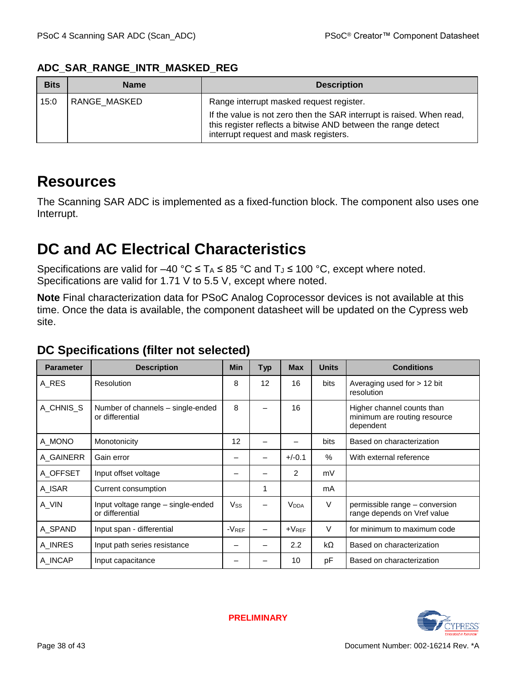| <b>Bits</b> | <b>Name</b>  | <b>Description</b>                                                                                                                                                                                                          |  |  |  |  |  |  |
|-------------|--------------|-----------------------------------------------------------------------------------------------------------------------------------------------------------------------------------------------------------------------------|--|--|--|--|--|--|
| 15:0        | RANGE MASKED | Range interrupt masked request register.<br>If the value is not zero then the SAR interrupt is raised. When read,<br>this register reflects a bitwise AND between the range detect<br>interrupt request and mask registers. |  |  |  |  |  |  |

#### **ADC\_SAR\_RANGE\_INTR\_MASKED\_REG**

# **Resources**

The Scanning SAR ADC is implemented as a fixed-function block. The component also uses one Interrupt.

# **DC and AC Electrical Characteristics**

Specifications are valid for –40 °C  $\leq T_A \leq 85$  °C and T<sub>J</sub>  $\leq$  100 °C, except where noted. Specifications are valid for 1.71 V to 5.5 V, except where noted.

**Note** Final characterization data for PSoC Analog Coprocessor devices is not available at this time. Once the data is available, the component datasheet will be updated on the Cypress web site.

| <b>Parameter</b> | <b>Description</b>                                    | <b>Min</b> | <b>Typ</b>               | <b>Max</b>              | <b>Units</b> | <b>Conditions</b>                                                       |
|------------------|-------------------------------------------------------|------------|--------------------------|-------------------------|--------------|-------------------------------------------------------------------------|
| A RES            | Resolution                                            | 8          | 12                       | 16                      | bits         | Averaging used for $> 12$ bit<br>resolution                             |
| A CHNIS S        | Number of channels – single-ended<br>or differential  | 8          |                          | 16                      |              | Higher channel counts than<br>minimum are routing resource<br>dependent |
| A_MONO           | Monotonicity                                          | 12         | $\overline{\phantom{0}}$ |                         | bits         | Based on characterization                                               |
| A_GAINERR        | Gain error                                            |            |                          | $+/-0.1$                | $\%$         | With external reference                                                 |
| A_OFFSET         | Input offset voltage                                  |            |                          | 2                       | mV           |                                                                         |
| A_ISAR           | Current consumption                                   |            | 1                        |                         | mA           |                                                                         |
| A_VIN            | Input voltage range – single-ended<br>or differential | $V_{SS}$   |                          | <b>V</b> <sub>DDA</sub> | $\vee$       | permissible range - conversion<br>range depends on Vref value           |
| A SPAND          | Input span - differential                             | $-V$ REF   |                          | $+V_{REF}$              | $\vee$       | for minimum to maximum code                                             |
| A_INRES          | Input path series resistance                          |            |                          | 2.2                     | kΩ           | Based on characterization                                               |
| A_INCAP          | Input capacitance                                     |            |                          | 10                      | pF           | Based on characterization                                               |

# **DC Specifications (filter not selected)**

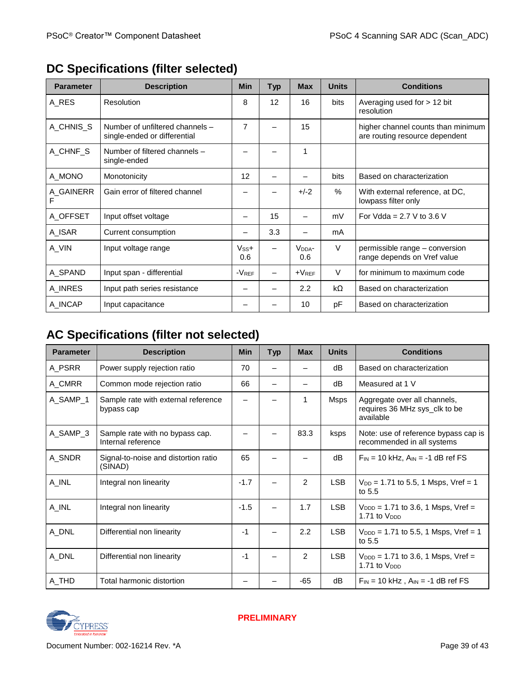| <b>Parameter</b> | <b>Description</b>                                              | <b>Min</b>          | <b>Typ</b>        | <b>Max</b>                | <b>Units</b> | <b>Conditions</b>                                                    |
|------------------|-----------------------------------------------------------------|---------------------|-------------------|---------------------------|--------------|----------------------------------------------------------------------|
| A_RES            | Resolution                                                      | 8                   | $12 \overline{ }$ | 16                        | bits         | Averaging used for $> 12$ bit<br>resolution                          |
| A_CHNIS_S        | Number of unfiltered channels -<br>single-ended or differential | $\overline{7}$      |                   | 15                        |              | higher channel counts than minimum<br>are routing resource dependent |
| A_CHNF_S         | Number of filtered channels -<br>single-ended                   |                     |                   | 1                         |              |                                                                      |
| A_MONO           | Monotonicity                                                    | 12                  |                   |                           | bits         | Based on characterization                                            |
| A_GAINERR        | Gain error of filtered channel                                  |                     |                   | $+/-2$                    | $\%$         | With external reference, at DC,<br>lowpass filter only               |
| A OFFSET         | Input offset voltage                                            | —                   | 15                | —                         | mV           | For Vdda = $2.7$ V to 3.6 V                                          |
| A_ISAR           | Current consumption                                             |                     | 3.3               |                           | mA           |                                                                      |
| A_VIN            | Input voltage range                                             | $V_{SS}+$<br>0.6    | —                 | V <sub>DDA</sub> -<br>0.6 | $\vee$       | permissible range – conversion<br>range depends on Vref value        |
| A_SPAND          | Input span - differential                                       | $-V$ <sub>REF</sub> |                   | $+V_{REF}$                | $\vee$       | for minimum to maximum code                                          |
| A INRES          | Input path series resistance                                    | -                   |                   | 2.2                       | $k\Omega$    | Based on characterization                                            |
| A_INCAP          | Input capacitance                                               |                     |                   | 10                        | pF           | Based on characterization                                            |

# **DC Specifications (filter selected)**

# **AC Specifications (filter not selected)**

| <b>Parameter</b> | <b>Description</b>                                    | <b>Min</b> | <b>Typ</b> | <b>Max</b> | <b>Units</b> | <b>Conditions</b>                                                          |
|------------------|-------------------------------------------------------|------------|------------|------------|--------------|----------------------------------------------------------------------------|
| A PSRR           | Power supply rejection ratio                          | 70         |            |            | dB           | Based on characterization                                                  |
| A_CMRR           | Common mode rejection ratio                           | 66         |            |            | dB           | Measured at 1 V                                                            |
| A_SAMP_1         | Sample rate with external reference<br>bypass cap     |            |            | 1          | Msps         | Aggregate over all channels,<br>requires 36 MHz sys_clk to be<br>available |
| A_SAMP_3         | Sample rate with no bypass cap.<br>Internal reference |            |            | 83.3       | ksps         | Note: use of reference bypass cap is<br>recommended in all systems         |
| A_SNDR           | Signal-to-noise and distortion ratio<br>(SINAD)       | 65         |            |            | dB           | $F_{IN}$ = 10 kHz, $A_{IN}$ = -1 dB ref FS                                 |
| A_INL            | Integral non linearity                                | $-1.7$     |            | 2          | <b>LSB</b>   | $V_{DD} = 1.71$ to 5.5, 1 Msps, Vref = 1<br>to 5.5                         |
| A_INL            | Integral non linearity                                | $-1.5$     |            | 1.7        | <b>LSB</b>   | $V_{\text{DDD}} = 1.71$ to 3.6, 1 Msps, Vref =<br>1.71 to V <sub>DDD</sub> |
| A_DNL            | Differential non linearity                            | $-1$       |            | 2.2        | <b>LSB</b>   | $V_{\text{DDD}} = 1.71$ to 5.5, 1 Msps, Vref = 1<br>to $5.5$               |
| A_DNL            | Differential non linearity                            | $-1$       |            | 2          | <b>LSB</b>   | $V_{\text{DDD}} = 1.71$ to 3.6, 1 Msps, Vref =<br>1.71 to V <sub>DDD</sub> |
| A_THD            | Total harmonic distortion                             |            |            | $-65$      | dB           | $F_{IN}$ = 10 kHz, $A_{IN}$ = -1 dB ref FS                                 |

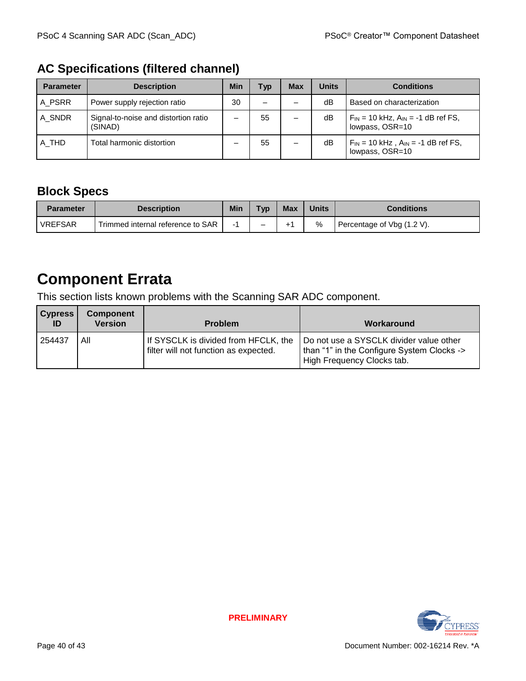# **AC Specifications (filtered channel)**

| <b>Parameter</b> | <b>Description</b>                              | Min | Typ                      | <b>Max</b> | <b>Units</b> | <b>Conditions</b>                                              |
|------------------|-------------------------------------------------|-----|--------------------------|------------|--------------|----------------------------------------------------------------|
| A_PSRR           | Power supply rejection ratio                    | 30  | $\overline{\phantom{0}}$ |            | dB           | Based on characterization                                      |
| A SNDR           | Signal-to-noise and distortion ratio<br>(SINAD) |     | 55                       |            | dB           | $F_{IN}$ = 10 kHz, $A_{IN}$ = -1 dB ref FS,<br>lowpass, OSR=10 |
| A THD            | Total harmonic distortion                       |     | 55                       |            | dB           | $F_{IN}$ = 10 kHz, $A_{IN}$ = -1 dB ref FS,<br>lowpass, OSR=10 |

# **Block Specs**

| <b>Parameter</b> | <b>Description</b>                | <b>Min</b> | TVD | Max | Units | <b>Conditions</b>          |
|------------------|-----------------------------------|------------|-----|-----|-------|----------------------------|
| <b>VREFSAR</b>   | Trimmed internal reference to SAR |            | -   | -⊢″ | %     | Percentage of Vbg (1.2 V). |

# **Component Errata**

This section lists known problems with the Scanning SAR ADC component.

| <b>Cypress</b><br>ID | <b>Component</b><br><b>Version</b> | <b>Problem</b>                                                                | Workaround                                                                                                          |
|----------------------|------------------------------------|-------------------------------------------------------------------------------|---------------------------------------------------------------------------------------------------------------------|
| 254437               | Αll                                | If SYSCLK is divided from HFCLK, the<br>filter will not function as expected. | Do not use a SYSCLK divider value other<br>than "1" in the Configure System Clocks -><br>High Frequency Clocks tab. |

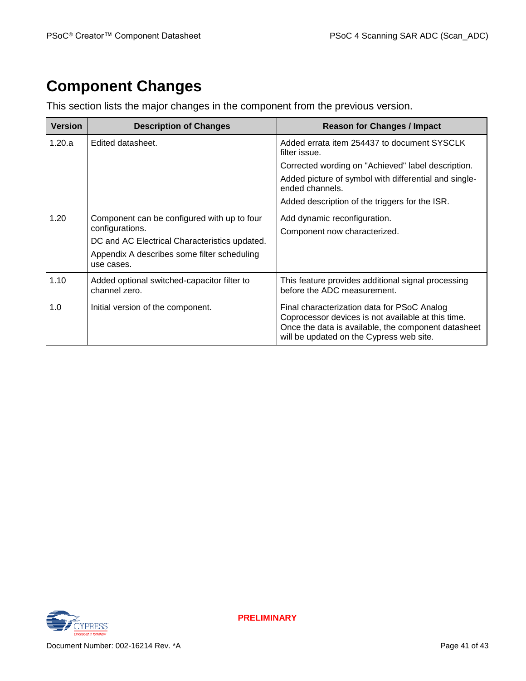# **Component Changes**

This section lists the major changes in the component from the previous version.

| <b>Version</b> | <b>Description of Changes</b>                                                                                                                                  | <b>Reason for Changes / Impact</b>                                                                                                                                                                   |
|----------------|----------------------------------------------------------------------------------------------------------------------------------------------------------------|------------------------------------------------------------------------------------------------------------------------------------------------------------------------------------------------------|
| 1.20.a         | Edited datasheet.                                                                                                                                              | Added errata item 254437 to document SYSCLK<br>filter issue.                                                                                                                                         |
|                |                                                                                                                                                                | Corrected wording on "Achieved" label description.                                                                                                                                                   |
|                |                                                                                                                                                                | Added picture of symbol with differential and single-<br>ended channels.                                                                                                                             |
|                |                                                                                                                                                                | Added description of the triggers for the ISR.                                                                                                                                                       |
| 1.20           | Component can be configured with up to four<br>configurations.<br>DC and AC Electrical Characteristics updated.<br>Appendix A describes some filter scheduling | Add dynamic reconfiguration.<br>Component now characterized.                                                                                                                                         |
|                | use cases.                                                                                                                                                     |                                                                                                                                                                                                      |
| 1.10           | Added optional switched-capacitor filter to<br>channel zero.                                                                                                   | This feature provides additional signal processing<br>before the ADC measurement.                                                                                                                    |
| 1.0            | Initial version of the component.                                                                                                                              | Final characterization data for PSoC Analog<br>Coprocessor devices is not available at this time.<br>Once the data is available, the component datasheet<br>will be updated on the Cypress web site. |

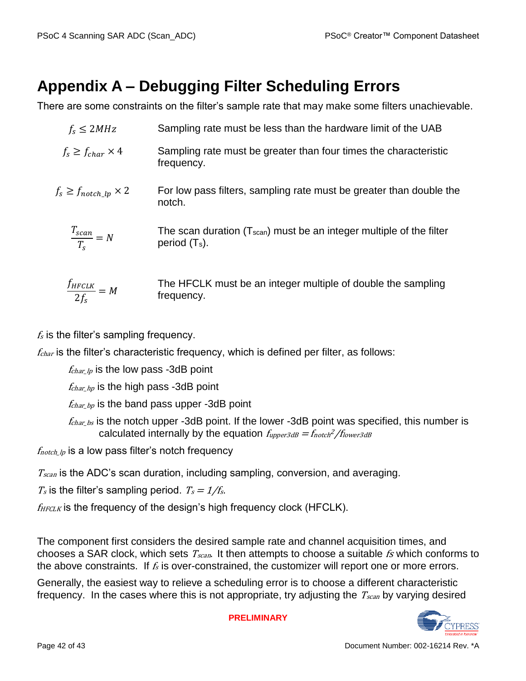# **Appendix A – Debugging Filter Scheduling Errors**

There are some constraints on the filter's sample rate that may make some filters unachievable.

| $f_s \leq 2MHz$                   | Sampling rate must be less than the hardware limit of the UAB                             |
|-----------------------------------|-------------------------------------------------------------------------------------------|
| $f_s \geq f_{char} \times 4$      | Sampling rate must be greater than four times the characteristic<br>frequency.            |
| $f_s \geq f_{notch\_lp} \times 2$ | For low pass filters, sampling rate must be greater than double the<br>notch.             |
| $\frac{T_{scan}}{T_s} = N$        | The scan duration $(Tscan)$ must be an integer multiple of the filter<br>period $(T_s)$ . |
| $\frac{f_{HFCLK}}{2f_s} = M$      | The HFCLK must be an integer multiple of double the sampling<br>frequency.                |

 $f<sub>s</sub>$  is the filter's sampling frequency.

 $f_{char}$  is the filter's characteristic frequency, which is defined per filter, as follows:

 $f_{char\,lo}$  is the low pass -3dB point

 $f_{char\_hp}$  is the high pass -3dB point

 $f_{char\_bp}$  is the band pass upper -3dB point

 $f_{char\,bs}$  is the notch upper -3dB point. If the lower -3dB point was specified, this number is calculated internally by the equation  $f_{upper3dB} = f_{notch}^2/f_{lower3dB}$ 

 $f_{\text{notch},\text{lp}}$  is a low pass filter's notch frequency

 $T_{scan}$  is the ADC's scan duration, including sampling, conversion, and averaging.

 $T_s$  is the filter's sampling period.  $T_s = 1/f_s$ .

 $f_{HFCLK}$  is the frequency of the design's high frequency clock (HFCLK).

The component first considers the desired sample rate and channel acquisition times, and chooses a SAR clock, which sets  $T_{scan}$ . It then attempts to choose a suitable  $fs$  which conforms to the above constraints. If  $f_s$  is over-constrained, the customizer will report one or more errors.

Generally, the easiest way to relieve a scheduling error is to choose a different characteristic frequency. In the cases where this is not appropriate, try adjusting the  $T_{scan}$  by varying desired